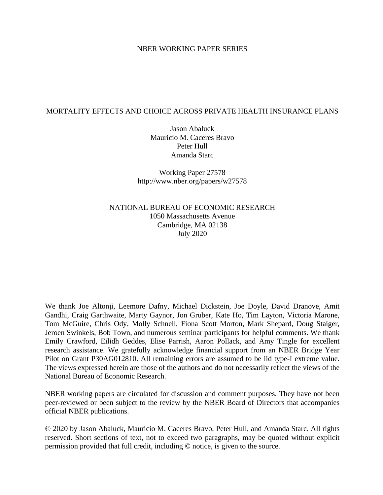#### NBER WORKING PAPER SERIES

#### MORTALITY EFFECTS AND CHOICE ACROSS PRIVATE HEALTH INSURANCE PLANS

Jason Abaluck Mauricio M. Caceres Bravo Peter Hull Amanda Starc

Working Paper 27578 http://www.nber.org/papers/w27578

NATIONAL BUREAU OF ECONOMIC RESEARCH 1050 Massachusetts Avenue Cambridge, MA 02138 July 2020

We thank Joe Altonji, Leemore Dafny, Michael Dickstein, Joe Doyle, David Dranove, Amit Gandhi, Craig Garthwaite, Marty Gaynor, Jon Gruber, Kate Ho, Tim Layton, Victoria Marone, Tom McGuire, Chris Ody, Molly Schnell, Fiona Scott Morton, Mark Shepard, Doug Staiger, Jeroen Swinkels, Bob Town, and numerous seminar participants for helpful comments. We thank Emily Crawford, Eilidh Geddes, Elise Parrish, Aaron Pollack, and Amy Tingle for excellent research assistance. We gratefully acknowledge financial support from an NBER Bridge Year Pilot on Grant P30AG012810. All remaining errors are assumed to be iid type-I extreme value. The views expressed herein are those of the authors and do not necessarily reflect the views of the National Bureau of Economic Research.

NBER working papers are circulated for discussion and comment purposes. They have not been peer-reviewed or been subject to the review by the NBER Board of Directors that accompanies official NBER publications.

© 2020 by Jason Abaluck, Mauricio M. Caceres Bravo, Peter Hull, and Amanda Starc. All rights reserved. Short sections of text, not to exceed two paragraphs, may be quoted without explicit permission provided that full credit, including © notice, is given to the source.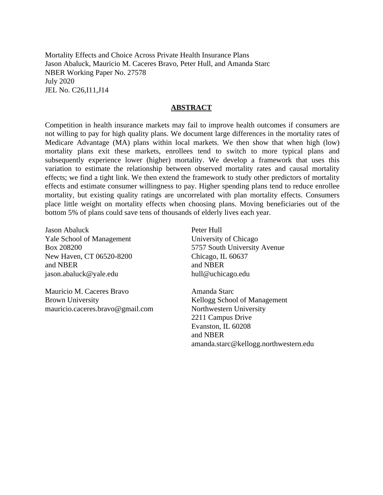Mortality Effects and Choice Across Private Health Insurance Plans Jason Abaluck, Mauricio M. Caceres Bravo, Peter Hull, and Amanda Starc NBER Working Paper No. 27578 July 2020 JEL No. C26,I11,J14

#### **ABSTRACT**

Competition in health insurance markets may fail to improve health outcomes if consumers are not willing to pay for high quality plans. We document large differences in the mortality rates of Medicare Advantage (MA) plans within local markets. We then show that when high (low) mortality plans exit these markets, enrollees tend to switch to more typical plans and subsequently experience lower (higher) mortality. We develop a framework that uses this variation to estimate the relationship between observed mortality rates and causal mortality effects; we find a tight link. We then extend the framework to study other predictors of mortality effects and estimate consumer willingness to pay. Higher spending plans tend to reduce enrollee mortality, but existing quality ratings are uncorrelated with plan mortality effects. Consumers place little weight on mortality effects when choosing plans. Moving beneficiaries out of the bottom 5% of plans could save tens of thousands of elderly lives each year.

Jason Abaluck Yale School of Management Box 208200 New Haven, CT 06520-8200 and NBER jason.abaluck@yale.edu

Mauricio M. Caceres Bravo Brown University mauricio.caceres.bravo@gmail.com Peter Hull University of Chicago 5757 South University Avenue Chicago, IL 60637 and NBER hull@uchicago.edu

Amanda Starc Kellogg School of Management Northwestern University 2211 Campus Drive Evanston, IL 60208 and NBER amanda.starc@kellogg.northwestern.edu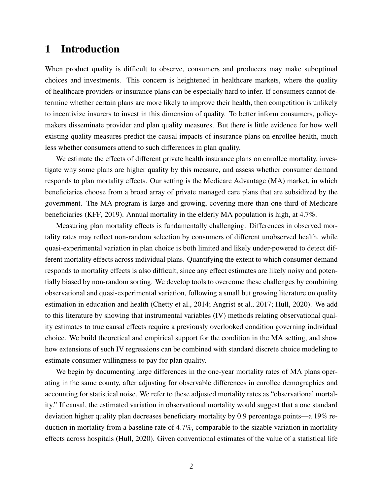# 1 Introduction

When product quality is difficult to observe, consumers and producers may make suboptimal choices and investments. This concern is heightened in healthcare markets, where the quality of healthcare providers or insurance plans can be especially hard to infer. If consumers cannot determine whether certain plans are more likely to improve their health, then competition is unlikely to incentivize insurers to invest in this dimension of quality. To better inform consumers, policymakers disseminate provider and plan quality measures. But there is little evidence for how well existing quality measures predict the causal impacts of insurance plans on enrollee health, much less whether consumers attend to such differences in plan quality.

We estimate the effects of different private health insurance plans on enrollee mortality, investigate why some plans are higher quality by this measure, and assess whether consumer demand responds to plan mortality effects. Our setting is the Medicare Advantage (MA) market, in which beneficiaries choose from a broad array of private managed care plans that are subsidized by the government. The MA program is large and growing, covering more than one third of Medicare beneficiaries [\(KFF, 2019\)](#page-44-0). Annual mortality in the elderly MA population is high, at 4.7%.

Measuring plan mortality effects is fundamentally challenging. Differences in observed mortality rates may reflect non-random selection by consumers of different unobserved health, while quasi-experimental variation in plan choice is both limited and likely under-powered to detect different mortality effects across individual plans. Quantifying the extent to which consumer demand responds to mortality effects is also difficult, since any effect estimates are likely noisy and potentially biased by non-random sorting. We develop tools to overcome these challenges by combining observational and quasi-experimental variation, following a small but growing literature on quality estimation in education and health [\(Chetty et al., 2014;](#page-43-0) [Angrist et al., 2017;](#page-42-0) [Hull, 2020\)](#page-44-1). We add to this literature by showing that instrumental variables (IV) methods relating observational quality estimates to true causal effects require a previously overlooked condition governing individual choice. We build theoretical and empirical support for the condition in the MA setting, and show how extensions of such IV regressions can be combined with standard discrete choice modeling to estimate consumer willingness to pay for plan quality.

We begin by documenting large differences in the one-year mortality rates of MA plans operating in the same county, after adjusting for observable differences in enrollee demographics and accounting for statistical noise. We refer to these adjusted mortality rates as "observational mortality." If causal, the estimated variation in observational mortality would suggest that a one standard deviation higher quality plan decreases beneficiary mortality by 0.9 percentage points—a 19% reduction in mortality from a baseline rate of 4.7%, comparable to the sizable variation in mortality effects across hospitals [\(Hull, 2020\)](#page-44-1). Given conventional estimates of the value of a statistical life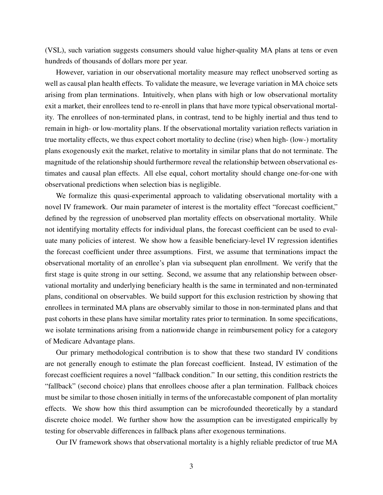(VSL), such variation suggests consumers should value higher-quality MA plans at tens or even hundreds of thousands of dollars more per year.

However, variation in our observational mortality measure may reflect unobserved sorting as well as causal plan health effects. To validate the measure, we leverage variation in MA choice sets arising from plan terminations. Intuitively, when plans with high or low observational mortality exit a market, their enrollees tend to re-enroll in plans that have more typical observational mortality. The enrollees of non-terminated plans, in contrast, tend to be highly inertial and thus tend to remain in high- or low-mortality plans. If the observational mortality variation reflects variation in true mortality effects, we thus expect cohort mortality to decline (rise) when high- (low-) mortality plans exogenously exit the market, relative to mortality in similar plans that do not terminate. The magnitude of the relationship should furthermore reveal the relationship between observational estimates and causal plan effects. All else equal, cohort mortality should change one-for-one with observational predictions when selection bias is negligible.

We formalize this quasi-experimental approach to validating observational mortality with a novel IV framework. Our main parameter of interest is the mortality effect "forecast coefficient," defined by the regression of unobserved plan mortality effects on observational mortality. While not identifying mortality effects for individual plans, the forecast coefficient can be used to evaluate many policies of interest. We show how a feasible beneficiary-level IV regression identifies the forecast coefficient under three assumptions. First, we assume that terminations impact the observational mortality of an enrollee's plan via subsequent plan enrollment. We verify that the first stage is quite strong in our setting. Second, we assume that any relationship between observational mortality and underlying beneficiary health is the same in terminated and non-terminated plans, conditional on observables. We build support for this exclusion restriction by showing that enrollees in terminated MA plans are observably similar to those in non-terminated plans and that past cohorts in these plans have similar mortality rates prior to termination. In some specifications, we isolate terminations arising from a nationwide change in reimbursement policy for a category of Medicare Advantage plans.

Our primary methodological contribution is to show that these two standard IV conditions are not generally enough to estimate the plan forecast coefficient. Instead, IV estimation of the forecast coefficient requires a novel "fallback condition." In our setting, this condition restricts the "fallback" (second choice) plans that enrollees choose after a plan termination. Fallback choices must be similar to those chosen initially in terms of the unforecastable component of plan mortality effects. We show how this third assumption can be microfounded theoretically by a standard discrete choice model. We further show how the assumption can be investigated empirically by testing for observable differences in fallback plans after exogenous terminations.

Our IV framework shows that observational mortality is a highly reliable predictor of true MA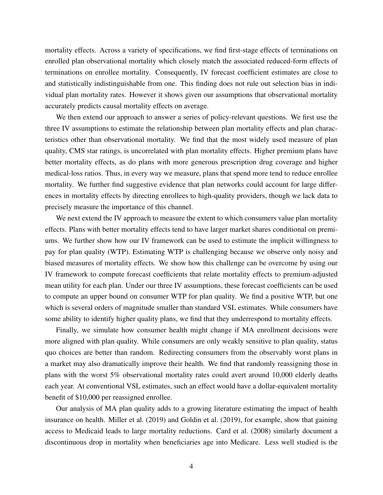mortality effects. Across a variety of specifications, we find first-stage effects of terminations on enrolled plan observational mortality which closely match the associated reduced-form effects of terminations on enrollee mortality. Consequently, IV forecast coefficient estimates are close to and statistically indistinguishable from one. This finding does not rule out selection bias in individual plan mortality rates. However it shows given our assumptions that observational mortality accurately predicts causal mortality effects on average.

We then extend our approach to answer a series of policy-relevant questions. We first use the three IV assumptions to estimate the relationship between plan mortality effects and plan characteristics other than observational mortality. We find that the most widely used measure of plan quality, CMS star ratings, is uncorrelated with plan mortality effects. Higher premium plans have better mortality effects, as do plans with more generous prescription drug coverage and higher medical-loss ratios. Thus, in every way we measure, plans that spend more tend to reduce enrollee mortality. We further find suggestive evidence that plan networks could account for large differences in mortality effects by directing enrollees to high-quality providers, though we lack data to precisely measure the importance of this channel.

We next extend the IV approach to measure the extent to which consumers value plan mortality effects. Plans with better mortality effects tend to have larger market shares conditional on premiums. We further show how our IV framework can be used to estimate the implicit willingness to pay for plan quality (WTP). Estimating WTP is challenging because we observe only noisy and biased measures of mortality effects. We show how this challenge can be overcome by using our IV framework to compute forecast coefficients that relate mortality effects to premium-adjusted mean utility for each plan. Under our three IV assumptions, these forecast coefficients can be used to compute an upper bound on consumer WTP for plan quality. We find a positive WTP, but one which is several orders of magnitude smaller than standard VSL estimates. While consumers have some ability to identify higher quality plans, we find that they underrespond to mortality effects.

Finally, we simulate how consumer health might change if MA enrollment decisions were more aligned with plan quality. While consumers are only weakly sensitive to plan quality, status quo choices are better than random. Redirecting consumers from the observably worst plans in a market may also dramatically improve their health. We find that randomly reassigning those in plans with the worst 5% observational mortality rates could avert around 10,000 elderly deaths each year. At conventional VSL estimates, such an effect would have a dollar-equivalent mortality benefit of \$10,000 per reassigned enrollee.

Our analysis of MA plan quality adds to a growing literature estimating the impact of health insurance on health. [Miller et al.](#page-45-0) [\(2019\)](#page-45-0) and [Goldin et al.](#page-44-2) [\(2019\)](#page-44-2), for example, show that gaining access to Medicaid leads to large mortality reductions. [Card et al.](#page-42-1) [\(2008\)](#page-42-1) similarly document a discontinuous drop in mortality when beneficiaries age into Medicare. Less well studied is the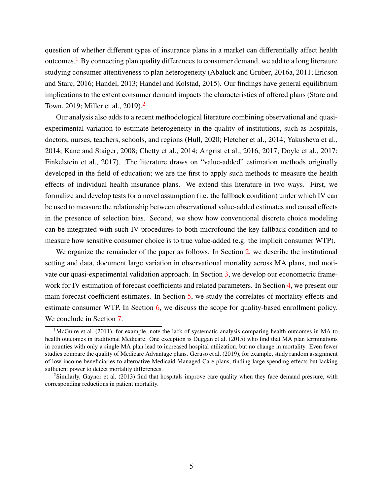question of whether different types of insurance plans in a market can differentially affect health outcomes.<sup>[1](#page-5-0)</sup> By connecting plan quality differences to consumer demand, we add to a long literature studying consumer attentiveness to plan heterogeneity [\(Abaluck and Gruber, 2016a,](#page-42-2) [2011;](#page-42-3) [Ericson](#page-44-3) [and Starc, 2016;](#page-44-3) [Handel, 2013;](#page-44-4) [Handel and Kolstad, 2015\)](#page-44-5). Our findings have general equilibrium implications to the extent consumer demand impacts the characteristics of offered plans [\(Starc and](#page-45-1) [Town, 2019;](#page-45-1) [Miller et al., 2019\)](#page-45-2).[2](#page-5-1)

Our analysis also adds to a recent methodological literature combining observational and quasiexperimental variation to estimate heterogeneity in the quality of institutions, such as hospitals, doctors, nurses, teachers, schools, and regions [\(Hull, 2020;](#page-44-1) [Fletcher et al., 2014;](#page-44-6) [Yakusheva et al.,](#page-45-3) [2014;](#page-45-3) [Kane and Staiger, 2008;](#page-44-7) [Chetty et al., 2014;](#page-43-0) [Angrist et al., 2016,](#page-42-4) [2017;](#page-42-0) [Doyle et al., 2017;](#page-43-1) [Finkelstein et al., 2017\)](#page-44-8). The literature draws on "value-added" estimation methods originally developed in the field of education; we are the first to apply such methods to measure the health effects of individual health insurance plans. We extend this literature in two ways. First, we formalize and develop tests for a novel assumption (i.e. the fallback condition) under which IV can be used to measure the relationship between observational value-added estimates and causal effects in the presence of selection bias. Second, we show how conventional discrete choice modeling can be integrated with such IV procedures to both microfound the key fallback condition and to measure how sensitive consumer choice is to true value-added (e.g. the implicit consumer WTP).

We organize the remainder of the paper as follows. In Section [2,](#page-6-0) we describe the institutional setting and data, document large variation in observational mortality across MA plans, and motivate our quasi-experimental validation approach. In Section [3,](#page-12-0) we develop our econometric framework for IV estimation of forecast coefficients and related parameters. In Section [4,](#page-22-0) we present our main forecast coefficient estimates. In Section [5,](#page-29-0) we study the correlates of mortality effects and estimate consumer WTP. In Section [6,](#page-37-0) we discuss the scope for quality-based enrollment policy. We conclude in Section [7.](#page-40-0)

<span id="page-5-0"></span><sup>&</sup>lt;sup>1</sup>[McGuire et al.](#page-45-4) [\(2011\)](#page-45-4), for example, note the lack of systematic analysis comparing health outcomes in MA to health outcomes in traditional Medicare. One exception is [Duggan et al.](#page-43-2) [\(2015\)](#page-43-2) who find that MA plan terminations in counties with only a single MA plan lead to increased hospital utilization, but no change in mortality. Even fewer studies compare the quality of Medicare Advantage plans. [Geruso et al.](#page-44-9) [\(2019\)](#page-44-9), for example, study random assignment of low-income beneficiaries to alternative Medicaid Managed Care plans, finding large spending effects but lacking sufficient power to detect mortality differences.

<span id="page-5-1"></span><sup>2</sup>Similarly, [Gaynor et al.](#page-44-10) [\(2013\)](#page-44-10) find that hospitals improve care quality when they face demand pressure, with corresponding reductions in patient mortality.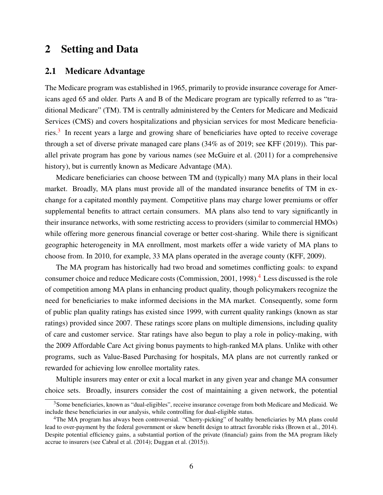# <span id="page-6-0"></span>2 Setting and Data

#### 2.1 Medicare Advantage

The Medicare program was established in 1965, primarily to provide insurance coverage for Americans aged 65 and older. Parts A and B of the Medicare program are typically referred to as "traditional Medicare" (TM). TM is centrally administered by the Centers for Medicare and Medicaid Services (CMS) and covers hospitalizations and physician services for most Medicare beneficia-ries.<sup>[3](#page-6-1)</sup> In recent years a large and growing share of beneficiaries have opted to receive coverage through a set of diverse private managed care plans (34% as of 2019; see [KFF](#page-44-0) [\(2019\)](#page-44-0)). This parallel private program has gone by various names (see [McGuire et al.](#page-45-4) [\(2011\)](#page-45-4) for a comprehensive history), but is currently known as Medicare Advantage (MA).

Medicare beneficiaries can choose between TM and (typically) many MA plans in their local market. Broadly, MA plans must provide all of the mandated insurance benefits of TM in exchange for a capitated monthly payment. Competitive plans may charge lower premiums or offer supplemental benefits to attract certain consumers. MA plans also tend to vary significantly in their insurance networks, with some restricting access to providers (similar to commercial HMOs) while offering more generous financial coverage or better cost-sharing. While there is significant geographic heterogeneity in MA enrollment, most markets offer a wide variety of MA plans to choose from. In 2010, for example, 33 MA plans operated in the average county [\(KFF, 2009\)](#page-44-11).

The MA program has historically had two broad and sometimes conflicting goals: to expand consumer choice and reduce Medicare costs [\(Commission, 2001,](#page-43-3) [1998\)](#page-43-4).[4](#page-6-2) Less discussed is the role of competition among MA plans in enhancing product quality, though policymakers recognize the need for beneficiaries to make informed decisions in the MA market. Consequently, some form of public plan quality ratings has existed since 1999, with current quality rankings (known as star ratings) provided since 2007. These ratings score plans on multiple dimensions, including quality of care and customer service. Star ratings have also begun to play a role in policy-making, with the 2009 Affordable Care Act giving bonus payments to high-ranked MA plans. Unlike with other programs, such as Value-Based Purchasing for hospitals, MA plans are not currently ranked or rewarded for achieving low enrollee mortality rates.

Multiple insurers may enter or exit a local market in any given year and change MA consumer choice sets. Broadly, insurers consider the cost of maintaining a given network, the potential

<span id="page-6-1"></span><sup>&</sup>lt;sup>3</sup>Some beneficiaries, known as "dual-eligibles", receive insurance coverage from both Medicare and Medicaid. We include these beneficiaries in our analysis, while controlling for dual-eligible status.

<span id="page-6-2"></span><sup>&</sup>lt;sup>4</sup>The MA program has always been controversial. "Cherry-picking" of healthy beneficiaries by MA plans could lead to over-payment by the federal government or skew benefit design to attract favorable risks [\(Brown et al., 2014\)](#page-42-5). Despite potential efficiency gains, a substantial portion of the private (financial) gains from the MA program likely accrue to insurers (see [Cabral et al.](#page-42-6) [\(2014\)](#page-42-6); [Duggan et al.](#page-43-2) [\(2015\)](#page-43-2)).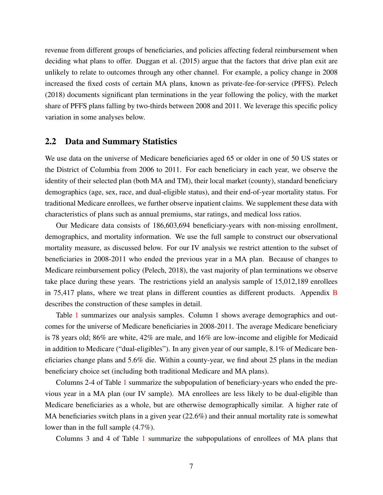revenue from different groups of beneficiaries, and policies affecting federal reimbursement when deciding what plans to offer. [Duggan et al.](#page-43-2) [\(2015\)](#page-43-2) argue that the factors that drive plan exit are unlikely to relate to outcomes through any other channel. For example, a policy change in 2008 increased the fixed costs of certain MA plans, known as private-fee-for-service (PFFS). [Pelech](#page-45-5) [\(2018\)](#page-45-5) documents significant plan terminations in the year following the policy, with the market share of PFFS plans falling by two-thirds between 2008 and 2011. We leverage this specific policy variation in some analyses below.

#### 2.2 Data and Summary Statistics

We use data on the universe of Medicare beneficiaries aged 65 or older in one of 50 US states or the District of Columbia from 2006 to 2011. For each beneficiary in each year, we observe the identity of their selected plan (both MA and TM), their local market (county), standard beneficiary demographics (age, sex, race, and dual-eligible status), and their end-of-year mortality status. For traditional Medicare enrollees, we further observe inpatient claims. We supplement these data with characteristics of plans such as annual premiums, star ratings, and medical loss ratios.

Our Medicare data consists of 186,603,694 beneficiary-years with non-missing enrollment, demographics, and mortality information. We use the full sample to construct our observational mortality measure, as discussed below. For our IV analysis we restrict attention to the subset of beneficiaries in 2008-2011 who ended the previous year in a MA plan. Because of changes to Medicare reimbursement policy [\(Pelech, 2018\)](#page-45-5), the vast majority of plan terminations we observe take place during these years. The restrictions yield an analysis sample of 15,012,189 enrollees in 75,417 plans, where we treat plans in different counties as different products. Appendix [B](#page-53-0) describes the construction of these samples in detail.

Table [1](#page-8-0) summarizes our analysis samples. Column 1 shows average demographics and outcomes for the universe of Medicare beneficiaries in 2008-2011. The average Medicare beneficiary is 78 years old; 86% are white, 42% are male, and 16% are low-income and eligible for Medicaid in addition to Medicare ("dual-eligibles"). In any given year of our sample, 8.1% of Medicare beneficiaries change plans and 5.6% die. Within a county-year, we find about 25 plans in the median beneficiary choice set (including both traditional Medicare and MA plans).

Columns 2-4 of Table [1](#page-8-0) summarize the subpopulation of beneficiary-years who ended the previous year in a MA plan (our IV sample). MA enrollees are less likely to be dual-eligible than Medicare beneficiaries as a whole, but are otherwise demographically similar. A higher rate of MA beneficiaries switch plans in a given year (22.6%) and their annual mortality rate is somewhat lower than in the full sample (4.7%).

Columns 3 and 4 of Table [1](#page-8-0) summarize the subpopulations of enrollees of MA plans that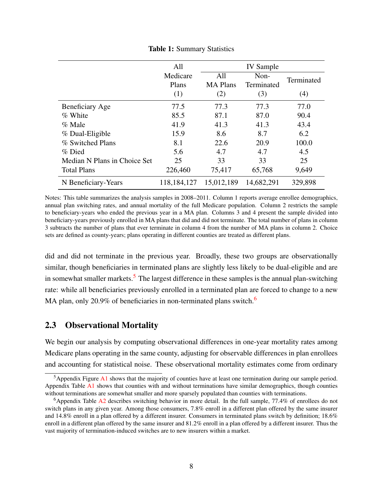<span id="page-8-0"></span>

|                              | All<br>Medicare | All             | <b>IV</b> Sample<br>Non- |            |
|------------------------------|-----------------|-----------------|--------------------------|------------|
|                              | Plans           | <b>MA</b> Plans | Terminated               | Terminated |
|                              | (1)             | (2)             | (3)                      | (4)        |
| <b>Beneficiary Age</b>       | 77.5            | 77.3            | 77.3                     | 77.0       |
| % White                      | 85.5            | 87.1            | 87.0                     | 90.4       |
| % Male                       | 41.9            | 41.3            | 41.3                     | 43.4       |
| % Dual-Eligible              | 15.9            | 8.6             | 8.7                      | 6.2        |
| % Switched Plans             | 8.1             | 22.6            | 20.9                     | 100.0      |
| % Died                       | 5.6             | 4.7             | 4.7                      | 4.5        |
| Median N Plans in Choice Set | 25              | 33              | 33                       | 25         |
| <b>Total Plans</b>           | 226,460         | 75,417          | 65,768                   | 9,649      |
| N Beneficiary-Years          | 118,184,127     | 15,012,189      | 14,682,291               | 329,898    |

Table 1: Summary Statistics

Notes: This table summarizes the analysis samples in 2008–2011. Column 1 reports average enrollee demographics, annual plan switching rates, and annual mortality of the full Medicare population. Column 2 restricts the sample to beneficiary-years who ended the previous year in a MA plan. Columns 3 and 4 present the sample divided into beneficiary-years previously enrolled in MA plans that did and did not terminate. The total number of plans in column 3 subtracts the number of plans that ever terminate in column 4 from the number of MA plans in column 2. Choice sets are defined as county-years; plans operating in different counties are treated as different plans.

did and did not terminate in the previous year. Broadly, these two groups are observationally similar, though beneficiaries in terminated plans are slightly less likely to be dual-eligible and are in somewhat smaller markets.<sup>[5](#page-8-1)</sup> The largest difference in these samples is the annual plan-switching rate: while all beneficiaries previously enrolled in a terminated plan are forced to change to a new MA plan, only 20.9% of beneficiaries in non-terminated plans switch.<sup>[6](#page-8-2)</sup>

#### <span id="page-8-3"></span>2.3 Observational Mortality

We begin our analysis by computing observational differences in one-year mortality rates among Medicare plans operating in the same county, adjusting for observable differences in plan enrollees and accounting for statistical noise. These observational mortality estimates come from ordinary

<span id="page-8-1"></span><sup>&</sup>lt;sup>5</sup>Appendix Figure [A1](#page-46-0) shows that the majority of counties have at least one termination during our sample period. Appendix Table [A1](#page-49-0) shows that counties with and without terminations have similar demographics, though counties without terminations are somewhat smaller and more sparsely populated than counties with terminations.

<span id="page-8-2"></span><sup>&</sup>lt;sup>6</sup>Appendix Table [A2](#page-50-0) describes switching behavior in more detail. In the full sample, 77.4% of enrollees do not switch plans in any given year. Among those consumers, 7.8% enroll in a different plan offered by the same insurer and 14.8% enroll in a plan offered by a different insurer. Consumers in terminated plans switch by definition; 18.6% enroll in a different plan offered by the same insurer and 81.2% enroll in a plan offered by a different insurer. Thus the vast majority of termination-induced switches are to new insurers within a market.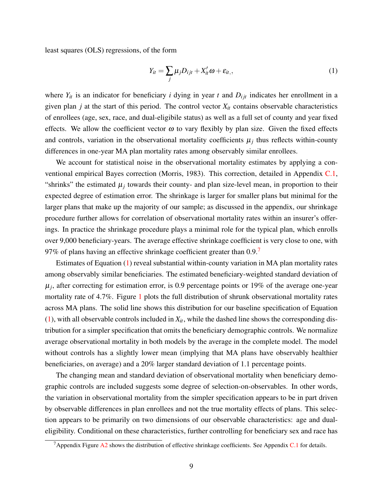least squares (OLS) regressions, of the form

<span id="page-9-1"></span>
$$
Y_{it} = \sum_{j} \mu_{j} D_{ijt} + X_{it}' \omega + \varepsilon_{it}, \qquad (1)
$$

where  $Y_{it}$  is an indicator for beneficiary *i* dying in year *t* and  $D_{ijt}$  indicates her enrollment in a given plan  $j$  at the start of this period. The control vector  $X_{it}$  contains observable characteristics of enrollees (age, sex, race, and dual-eligibile status) as well as a full set of county and year fixed effects. We allow the coefficient vector  $\omega$  to vary flexibly by plan size. Given the fixed effects and controls, variation in the observational mortality coefficients  $\mu_j$  thus reflects within-county differences in one-year MA plan mortality rates among observably similar enrollees.

We account for statistical noise in the observational mortality estimates by applying a conventional empirical Bayes correction [\(Morris, 1983\)](#page-45-6). This correction, detailed in Appendix [C.1,](#page-54-0) "shrinks" the estimated  $\mu_j$  towards their county- and plan size-level mean, in proportion to their expected degree of estimation error. The shrinkage is larger for smaller plans but minimal for the larger plans that make up the majority of our sample; as discussed in the appendix, our shrinkage procedure further allows for correlation of observational mortality rates within an insurer's offerings. In practice the shrinkage procedure plays a minimal role for the typical plan, which enrolls over 9,000 beneficiary-years. The average effective shrinkage coefficient is very close to one, with 9[7](#page-9-0)% of plans having an effective shrinkage coefficient greater than  $0.9$ .

Estimates of Equation [\(1\)](#page-9-1) reveal substantial within-county variation in MA plan mortality rates among observably similar beneficiaries. The estimated beneficiary-weighted standard deviation of  $\mu_j$ , after correcting for estimation error, is 0.9 percentage points or 19% of the average one-year mortality rate of 4.7%. Figure [1](#page-10-0) plots the full distribution of shrunk observational mortality rates across MA plans. The solid line shows this distribution for our baseline specification of Equation  $(1)$ , with all observable controls included in  $X_{it}$ , while the dashed line shows the corresponding distribution for a simpler specification that omits the beneficiary demographic controls. We normalize average observational mortality in both models by the average in the complete model. The model without controls has a slightly lower mean (implying that MA plans have observably healthier beneficiaries, on average) and a 20% larger standard deviation of 1.1 percentage points.

The changing mean and standard deviation of observational mortality when beneficiary demographic controls are included suggests some degree of selection-on-observables. In other words, the variation in observational mortality from the simpler specification appears to be in part driven by observable differences in plan enrollees and not the true mortality effects of plans. This selection appears to be primarily on two dimensions of our observable characteristics: age and dualeligibility. Conditional on these characteristics, further controlling for beneficiary sex and race has

<span id="page-9-0"></span><sup>&</sup>lt;sup>7</sup>Appendix Figure [A2](#page-47-0) shows the distribution of effective shrinkage coefficients. See Appendix [C.1](#page-54-0) for details.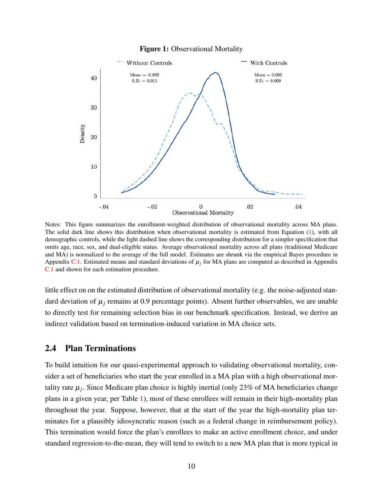<span id="page-10-0"></span>

Figure 1: Observational Mortality

Notes: This figure summarizes the enrollment-weighted distribution of observational mortality across MA plans. The solid dark line shows this distribution when observational mortality is estimated from Equation [\(1\)](#page-9-1), with all demographic controls, while the light dashed line shows the corresponding distribution for a simpler specification that omits age, race, sex, and dual-eligible status. Average observational mortality across all plans (traditional Medicare and MA) is normalized to the average of the full model. Estimates are shrunk via the empirical Bayes procedure in Appendix [C.1.](#page-54-0) Estimated means and standard deviations of  $\mu_i$  for MA plans are computed as described in Appendix [C.1](#page-54-0) and shown for each estimation procedure.

little effect on on the estimated distribution of observational mortality (e.g. the noise-adjusted standard deviation of  $\mu_j$  remains at 0.9 percentage points). Absent further observables, we are unable to directly test for remaining selection bias in our benchmark specification. Instead, we derive an indirect validation based on termination-induced variation in MA choice sets.

#### 2.4 Plan Terminations

To build intuition for our quasi-experimental approach to validating observational mortality, consider a set of beneficiaries who start the year enrolled in a MA plan with a high observational mortality rate  $\mu_j$ . Since Medicare plan choice is highly inertial (only 23% of MA beneficiaries change plans in a given year, per Table [1\)](#page-8-0), most of these enrollees will remain in their high-mortality plan throughout the year. Suppose, however, that at the start of the year the high-mortality plan terminates for a plausibly idiosyncratic reason (such as a federal change in reimbursement policy). This termination would force the plan's enrollees to make an active enrollment choice, and under standard regression-to-the-mean, they will tend to switch to a new MA plan that is more typical in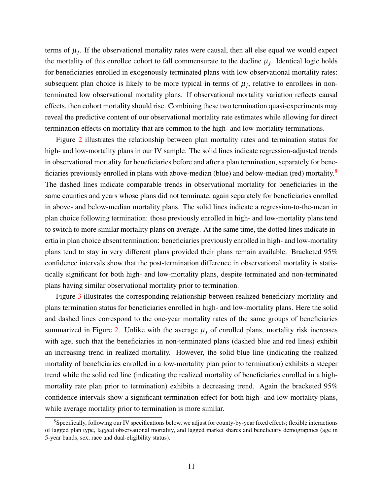terms of  $\mu_j$ . If the observational mortality rates were causal, then all else equal we would expect the mortality of this enrollee cohort to fall commensurate to the decline  $\mu_j$ . Identical logic holds for beneficiaries enrolled in exogenously terminated plans with low observational mortality rates: subsequent plan choice is likely to be more typical in terms of  $\mu_j$ , relative to enrollees in nonterminated low observational mortality plans. If observational mortality variation reflects causal effects, then cohort mortality should rise. Combining these two termination quasi-experiments may reveal the predictive content of our observational mortality rate estimates while allowing for direct termination effects on mortality that are common to the high- and low-mortality terminations.

Figure [2](#page-12-1) illustrates the relationship between plan mortality rates and termination status for high- and low-mortality plans in our IV sample. The solid lines indicate regression-adjusted trends in observational mortality for beneficiaries before and after a plan termination, separately for bene-ficiaries previously enrolled in plans with above-median (blue) and below-median (red) mortality.<sup>[8](#page-11-0)</sup> The dashed lines indicate comparable trends in observational mortality for beneficiaries in the same counties and years whose plans did not terminate, again separately for beneficiaries enrolled in above- and below-median mortality plans. The solid lines indicate a regression-to-the-mean in plan choice following termination: those previously enrolled in high- and low-mortality plans tend to switch to more similar mortality plans on average. At the same time, the dotted lines indicate inertia in plan choice absent termination: beneficiaries previously enrolled in high- and low-mortality plans tend to stay in very different plans provided their plans remain available. Bracketed 95% confidence intervals show that the post-termination difference in observational mortality is statistically significant for both high- and low-mortality plans, despite terminated and non-terminated plans having similar observational mortality prior to termination.

Figure [3](#page-13-0) illustrates the corresponding relationship between realized beneficiary mortality and plans termination status for beneficiaries enrolled in high- and low-mortality plans. Here the solid and dashed lines correspond to the one-year mortality rates of the same groups of beneficiaries summarized in Figure [2.](#page-12-1) Unlike with the average  $\mu_i$  of enrolled plans, mortality risk increases with age, such that the beneficiaries in non-terminated plans (dashed blue and red lines) exhibit an increasing trend in realized mortality. However, the solid blue line (indicating the realized mortality of beneficiaries enrolled in a low-mortality plan prior to termination) exhibits a steeper trend while the solid red line (indicating the realized mortality of beneficiaries enrolled in a highmortality rate plan prior to termination) exhibits a decreasing trend. Again the bracketed 95% confidence intervals show a significant termination effect for both high- and low-mortality plans, while average mortality prior to termination is more similar.

<span id="page-11-0"></span><sup>&</sup>lt;sup>8</sup>Specifically, following our IV specifications below, we adjust for county-by-year fixed effects; flexible interactions of lagged plan type, lagged observational mortality, and lagged market shares and beneficiary demographics (age in 5-year bands, sex, race and dual-eligibility status).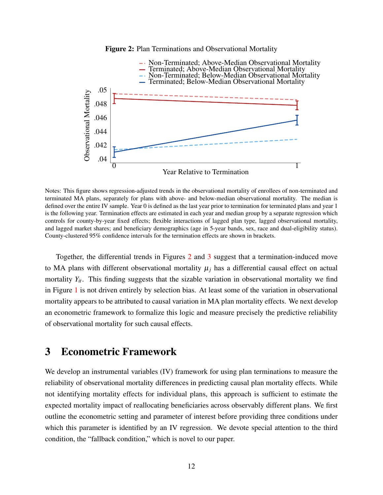

<span id="page-12-1"></span>

Notes: This figure shows regression-adjusted trends in the observational mortality of enrollees of non-terminated and terminated MA plans, separately for plans with above- and below-median observational mortality. The median is defined over the entire IV sample. Year 0 is defined as the last year prior to termination for terminated plans and year 1 is the following year. Termination effects are estimated in each year and median group by a separate regression which controls for county-by-year fixed effects; flexible interactions of lagged plan type, lagged observational mortality, and lagged market shares; and beneficiary demographics (age in 5-year bands, sex, race and dual-eligibility status). County-clustered 95% confidence intervals for the termination effects are shown in brackets.

Together, the differential trends in Figures [2](#page-12-1) and [3](#page-13-0) suggest that a termination-induced move to MA plans with different observational mortality  $\mu_i$  has a differential causal effect on actual mortality  $Y_{it}$ . This finding suggests that the sizable variation in observational mortality we find in Figure [1](#page-10-0) is not driven entirely by selection bias. At least some of the variation in observational mortality appears to be attributed to causal variation in MA plan mortality effects. We next develop an econometric framework to formalize this logic and measure precisely the predictive reliability of observational mortality for such causal effects.

# <span id="page-12-0"></span>3 Econometric Framework

We develop an instrumental variables (IV) framework for using plan terminations to measure the reliability of observational mortality differences in predicting causal plan mortality effects. While not identifying mortality effects for individual plans, this approach is sufficient to estimate the expected mortality impact of reallocating beneficiaries across observably different plans. We first outline the econometric setting and parameter of interest before providing three conditions under which this parameter is identified by an IV regression. We devote special attention to the third condition, the "fallback condition," which is novel to our paper.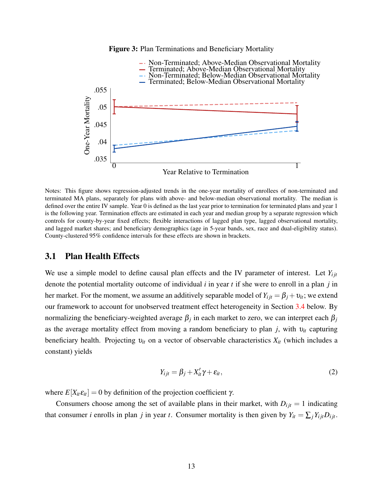

<span id="page-13-0"></span>

Notes: This figure shows regression-adjusted trends in the one-year mortality of enrollees of non-terminated and terminated MA plans, separately for plans with above- and below-median observational mortality. The median is defined over the entire IV sample. Year 0 is defined as the last year prior to termination for terminated plans and year 1 is the following year. Termination effects are estimated in each year and median group by a separate regression which controls for county-by-year fixed effects; flexible interactions of lagged plan type, lagged observational mortality, and lagged market shares; and beneficiary demographics (age in 5-year bands, sex, race and dual-eligibility status). County-clustered 95% confidence intervals for these effects are shown in brackets.

#### 3.1 Plan Health Effects

We use a simple model to define causal plan effects and the IV parameter of interest. Let  $Y_{i}$ denote the potential mortality outcome of individual *i* in year *t* if she were to enroll in a plan *j* in her market. For the moment, we assume an additively separable model of  $Y_{i j t} = \beta_j + v_{i t}$ ; we extend our framework to account for unobserved treatment effect heterogeneity in Section [3.4](#page-21-0) below. By normalizing the beneficiary-weighted average β*<sup>j</sup>* in each market to zero, we can interpret each β*<sup>j</sup>* as the average mortality effect from moving a random beneficiary to plan *j*, with υ*it* capturing beneficiary health. Projecting υ*it* on a vector of observable characteristics *Xit* (which includes a constant) yields

$$
Y_{ijt} = \beta_j + X'_{it} \gamma + \varepsilon_{it},\tag{2}
$$

where  $E[X_i \varepsilon_{i} = 0$  by definition of the projection coefficient  $\gamma$ .

Consumers choose among the set of available plans in their market, with  $D_{ijt} = 1$  indicating that consumer *i* enrolls in plan *j* in year *t*. Consumer mortality is then given by  $Y_{it} = \sum_j Y_{ijt} D_{ijt}$ .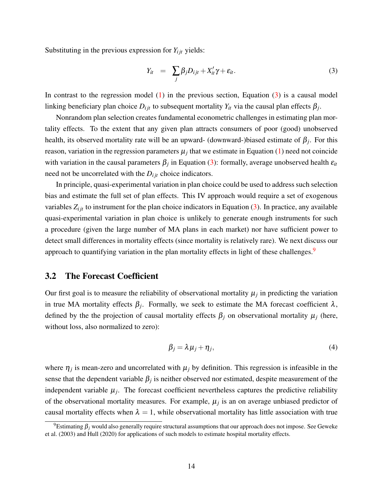Substituting in the previous expression for  $Y_{ijt}$  yields:

<span id="page-14-0"></span>
$$
Y_{it} = \sum_{j} \beta_{j} D_{ijt} + X_{it}' \gamma + \varepsilon_{it}. \tag{3}
$$

In contrast to the regression model  $(1)$  in the previous section, Equation  $(3)$  is a causal model linking beneficiary plan choice  $D_{ijt}$  to subsequent mortality  $Y_{it}$  via the causal plan effects  $\beta_j$ .

Nonrandom plan selection creates fundamental econometric challenges in estimating plan mortality effects. To the extent that any given plan attracts consumers of poor (good) unobserved health, its observed mortality rate will be an upward- (downward-)biased estimate of  $\beta_j$ . For this reason, variation in the regression parameters  $\mu_j$  that we estimate in Equation [\(1\)](#page-9-1) need not coincide with variation in the causal parameters  $\beta_j$  in Equation [\(3\)](#page-14-0): formally, average unobserved health  $\varepsilon_{it}$ need not be uncorrelated with the  $D_{ijt}$  choice indicators.

In principle, quasi-experimental variation in plan choice could be used to address such selection bias and estimate the full set of plan effects. This IV approach would require a set of exogenous variables  $Z_{ijt}$  to instrument for the plan choice indicators in Equation [\(3\)](#page-14-0). In practice, any available quasi-experimental variation in plan choice is unlikely to generate enough instruments for such a procedure (given the large number of MA plans in each market) nor have sufficient power to detect small differences in mortality effects (since mortality is relatively rare). We next discuss our approach to quantifying variation in the plan mortality effects in light of these challenges.<sup>[9](#page-14-1)</sup>

#### 3.2 The Forecast Coefficient

Our first goal is to measure the reliability of observational mortality  $\mu_j$  in predicting the variation in true MA mortality effects  $\beta_j$ . Formally, we seek to estimate the MA forecast coefficient  $\lambda$ , defined by the the projection of causal mortality effects  $\beta_j$  on observational mortality  $\mu_j$  (here, without loss, also normalized to zero):

<span id="page-14-2"></span>
$$
\beta_j = \lambda \mu_j + \eta_j,\tag{4}
$$

where  $\eta_j$  is mean-zero and uncorrelated with  $\mu_j$  by definition. This regression is infeasible in the sense that the dependent variable  $\beta_j$  is neither observed nor estimated, despite measurement of the independent variable  $\mu_j$ . The forecast coefficient nevertheless captures the predictive reliability of the observational mortality measures. For example,  $\mu_j$  is an on average unbiased predictor of causal mortality effects when  $\lambda = 1$ , while observational mortality has little association with true

<span id="page-14-1"></span><sup>&</sup>lt;sup>9</sup>Estimating  $\beta_i$  would also generally require structural assumptions that our approach does not impose. See [Geweke](#page-44-12) [et al.](#page-44-12) [\(2003\)](#page-44-12) and [Hull](#page-44-1) [\(2020\)](#page-44-1) for applications of such models to estimate hospital mortality effects.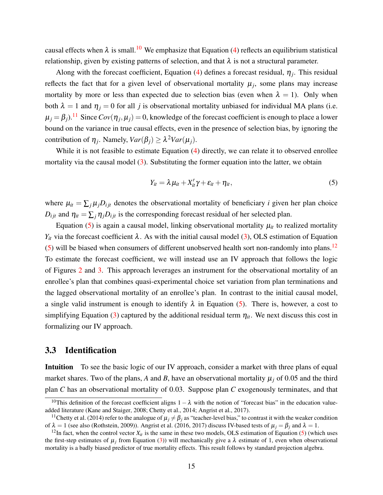causal effects when  $\lambda$  is small.<sup>[10](#page-15-0)</sup> We emphasize that Equation [\(4\)](#page-14-2) reflects an equilibrium statistical relationship, given by existing patterns of selection, and that  $\lambda$  is not a structural parameter.

Along with the forecast coefficient, Equation  $(4)$  defines a forecast residual,  $\eta_j$ . This residual reflects the fact that for a given level of observational mortality  $\mu_j$ , some plans may increase mortality by more or less than expected due to selection bias (even when  $\lambda = 1$ ). Only when both  $\lambda = 1$  and  $\eta_j = 0$  for all *j* is observational mortality unbiased for individual MA plans (i.e.  $\mu_j = \beta_j$ ).<sup>[11](#page-15-1)</sup> Since  $Cov(\eta_j, \mu_j) = 0$ , knowledge of the forecast coefficient is enough to place a lower bound on the variance in true causal effects, even in the presence of selection bias, by ignoring the contribution of  $\eta_j$ . Namely,  $Var(\beta_j) \geq \lambda^2 Var(\mu_j)$ .

While it is not feasible to estimate Equation [\(4\)](#page-14-2) directly, we can relate it to observed enrollee mortality via the causal model [\(3\)](#page-14-0). Substituting the former equation into the latter, we obtain

<span id="page-15-2"></span>
$$
Y_{it} = \lambda \mu_{it} + X_{it}' \gamma + \varepsilon_{it} + \eta_{it}, \qquad (5)
$$

where  $\mu_{it} = \sum_j \mu_j D_{ijt}$  denotes the observational mortality of beneficiary *i* given her plan choice  $D_{ijt}$  and  $\eta_{it} = \sum_j \eta_j D_{ijt}$  is the corresponding forecast residual of her selected plan.

Equation [\(5\)](#page-15-2) is again a causal model, linking observational mortality  $\mu_{it}$  to realized mortality *Y<sub>it</sub>* via the forecast coefficient λ. As with the initial causal model [\(3\)](#page-14-0), OLS estimation of Equation  $(5)$  will be biased when consumers of different unobserved health sort non-randomly into plans.<sup>[12](#page-15-3)</sup> To estimate the forecast coefficient, we will instead use an IV approach that follows the logic of Figures [2](#page-12-1) and [3.](#page-13-0) This approach leverages an instrument for the observational mortality of an enrollee's plan that combines quasi-experimental choice set variation from plan terminations and the lagged observational mortality of an enrollee's plan. In contrast to the initial causal model, a single valid instrument is enough to identify  $\lambda$  in Equation [\(5\)](#page-15-2). There is, however, a cost to simplifying Equation [\(3\)](#page-14-0) captured by the additional residual term  $\eta_{it}$ . We next discuss this cost in formalizing our IV approach.

#### 3.3 Identification

Intuition To see the basic logic of our IV approach, consider a market with three plans of equal market shares. Two of the plans, A and B, have an observational mortality  $\mu_i$  of 0.05 and the third plan *C* has an observational mortality of 0.03. Suppose plan *C* exogenously terminates, and that

<span id="page-15-0"></span><sup>&</sup>lt;sup>10</sup>This definition of the forecast coefficient aligns  $1 - \lambda$  with the notion of "forecast bias" in the education valueadded literature [\(Kane and Staiger, 2008;](#page-44-7) [Chetty et al., 2014;](#page-43-0) [Angrist et al., 2017\)](#page-42-0).

<span id="page-15-1"></span><sup>&</sup>lt;sup>11</sup>[Chetty et al.](#page-43-0) [\(2014\)](#page-43-0) refer to the analogue of  $\mu_j \neq \beta_j$  as "teacher-level bias," to contrast it with the weaker condition of  $\lambda = 1$  (see also [\(Rothstein, 2009\)](#page-45-7)). [Angrist et al.](#page-42-4) [\(2016,](#page-42-4) [2017\)](#page-42-0) discuss IV-based tests of  $\mu_j = \beta_j$  and  $\lambda = 1$ .

<span id="page-15-3"></span><sup>&</sup>lt;sup>12</sup>In fact, when the control vector  $X_{it}$  is the same in these two models, OLS estimation of Equation [\(5\)](#page-15-2) (which uses the first-step estimates of  $\mu_j$  from Equation [\(3\)](#page-14-0)) will mechanically give a  $\lambda$  estimate of 1, even when observational mortality is a badly biased predictor of true mortality effects. This result follows by standard projection algebra.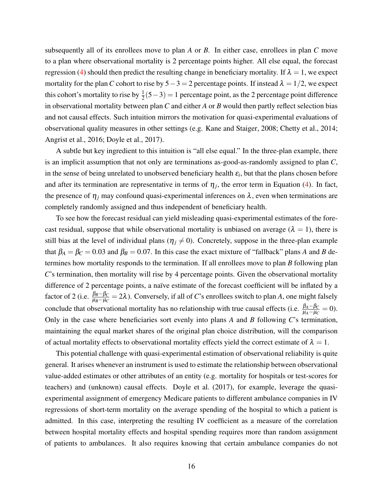subsequently all of its enrollees move to plan *A* or *B*. In either case, enrollees in plan *C* move to a plan where observational mortality is 2 percentage points higher. All else equal, the forecast regression [\(4\)](#page-14-2) should then predict the resulting change in beneficiary mortality. If  $\lambda = 1$ , we expect mortality for the plan *C* cohort to rise by  $5-3=2$  percentage points. If instead  $\lambda = 1/2$ , we expect this cohort's mortality to rise by  $\frac{1}{2}(5-3) = 1$  percentage point, as the 2 percentage point difference in observational mortality between plan *C* and either *A* or *B* would then partly reflect selection bias and not causal effects. Such intuition mirrors the motivation for quasi-experimental evaluations of observational quality measures in other settings (e.g. [Kane and Staiger, 2008;](#page-44-7) [Chetty et al., 2014;](#page-43-0) [Angrist et al., 2016;](#page-42-4) [Doyle et al., 2017\)](#page-43-1).

A subtle but key ingredient to this intuition is "all else equal." In the three-plan example, there is an implicit assumption that not only are terminations as-good-as-randomly assigned to plan *C*, in the sense of being unrelated to unobserved beneficiary health  $\varepsilon_i$ , but that the plans chosen before and after its termination are representative in terms of  $\eta_j$ , the error term in Equation [\(4\)](#page-14-2). In fact, the presence of  $\eta_j$  may confound quasi-experimental inferences on  $\lambda$ , even when terminations are completely randomly assigned and thus independent of beneficiary health.

To see how the forecast residual can yield misleading quasi-experimental estimates of the forecast residual, suppose that while observational mortality is unbiased on average ( $\lambda = 1$ ), there is still bias at the level of individual plans ( $\eta_j \neq 0$ ). Concretely, suppose in the three-plan example that  $\beta_A = \beta_C = 0.03$  and  $\beta_B = 0.07$ . In this case the exact mixture of "fallback" plans *A* and *B* determines how mortality responds to the termination. If all enrollees move to plan *B* following plan *C*'s termination, then mortality will rise by 4 percentage points. Given the observational mortality difference of 2 percentage points, a naïve estimate of the forecast coefficient will be inflated by a factor of 2 (i.e.  $\frac{\beta_B - \beta_C}{\mu_B - \mu_C} = 2\lambda$ ). Conversely, if all of *C*'s enrollees switch to plan *A*, one might falsely conclude that observational mortality has no relationship with true causal effects (i.e.  $\frac{\beta_A - \beta_C}{\mu_A - \mu_C} = 0$ ). Only in the case where beneficiaries sort evenly into plans *A* and *B* following *C*'s termination, maintaining the equal market shares of the original plan choice distribution, will the comparison of actual mortality effects to observational mortality effects yield the correct estimate of  $\lambda = 1$ .

This potential challenge with quasi-experimental estimation of observational reliability is quite general. It arises whenever an instrument is used to estimate the relationship between observational value-added estimates or other attributes of an entity (e.g. mortality for hospitals or test-scores for teachers) and (unknown) causal effects. [Doyle et al.](#page-43-1) [\(2017\)](#page-43-1), for example, leverage the quasiexperimental assignment of emergency Medicare patients to different ambulance companies in IV regressions of short-term mortality on the average spending of the hospital to which a patient is admitted. In this case, interpreting the resulting IV coefficient as a measure of the correlation between hospital mortality effects and hospital spending requires more than random assignment of patients to ambulances. It also requires knowing that certain ambulance companies do not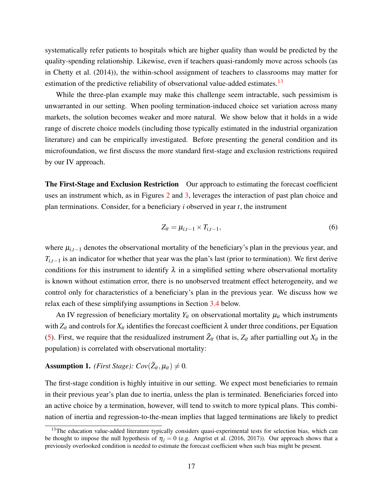systematically refer patients to hospitals which are higher quality than would be predicted by the quality-spending relationship. Likewise, even if teachers quasi-randomly move across schools (as in [Chetty et al.](#page-43-0) [\(2014\)](#page-43-0)), the within-school assignment of teachers to classrooms may matter for estimation of the predictive reliability of observational value-added estimates.<sup>[13](#page-17-0)</sup>

While the three-plan example may make this challenge seem intractable, such pessimism is unwarranted in our setting. When pooling termination-induced choice set variation across many markets, the solution becomes weaker and more natural. We show below that it holds in a wide range of discrete choice models (including those typically estimated in the industrial organization literature) and can be empirically investigated. Before presenting the general condition and its microfoundation, we first discuss the more standard first-stage and exclusion restrictions required by our IV approach.

The First-Stage and Exclusion Restriction Our approach to estimating the forecast coefficient uses an instrument which, as in Figures [2](#page-12-1) and [3,](#page-13-0) leverages the interaction of past plan choice and plan terminations. Consider, for a beneficiary *i* observed in year *t*, the instrument

$$
Z_{it} = \mu_{i,t-1} \times T_{i,t-1},\tag{6}
$$

where  $\mu_{i,t-1}$  denotes the observational mortality of the beneficiary's plan in the previous year, and  $T_{i,t-1}$  is an indicator for whether that year was the plan's last (prior to termination). We first derive conditions for this instrument to identify  $\lambda$  in a simplified setting where observational mortality is known without estimation error, there is no unobserved treatment effect heterogeneity, and we control only for characteristics of a beneficiary's plan in the previous year. We discuss how we relax each of these simplifying assumptions in Section [3.4](#page-21-0) below.

An IV regression of beneficiary mortality  $Y_{it}$  on observational mortality  $\mu_{it}$  which instruments with  $Z_{it}$  and controls for  $X_{it}$  identifies the forecast coefficient  $\lambda$  under three conditions, per Equation [\(5\)](#page-15-2). First, we require that the residualized instrument  $\tilde{Z}_{it}$  (that is,  $Z_{it}$  after partialling out  $X_{it}$  in the population) is correlated with observational mortality:

# <span id="page-17-1"></span>Assumption 1. *(First Stage):*  $Cov(\tilde{Z}_{it}, \mu_{it}) \neq 0$ .

The first-stage condition is highly intuitive in our setting. We expect most beneficiaries to remain in their previous year's plan due to inertia, unless the plan is terminated. Beneficiaries forced into an active choice by a termination, however, will tend to switch to more typical plans. This combination of inertia and regression-to-the-mean implies that lagged terminations are likely to predict

<span id="page-17-0"></span><sup>&</sup>lt;sup>13</sup>The education value-added literature typically considers quasi-experimental tests for selection bias, which can be thought to impose the null hypothesis of  $\eta_i = 0$  (e.g. [Angrist et al.](#page-42-4) [\(2016,](#page-42-4) [2017\)](#page-42-0)). Our approach shows that a previously overlooked condition is needed to estimate the forecast coefficient when such bias might be present.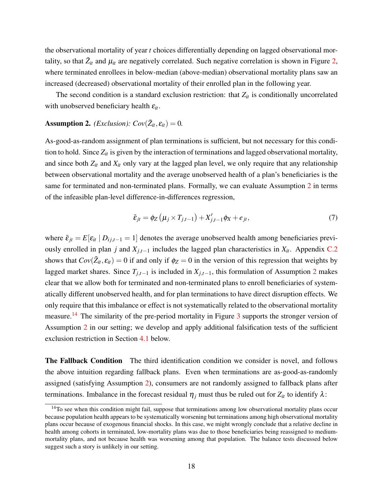the observational mortality of year *t* choices differentially depending on lagged observational mortality, so that  $\tilde{Z}_{it}$  and  $\mu_{it}$  are negatively correlated. Such negative correlation is shown in Figure [2,](#page-12-1) where terminated enrollees in below-median (above-median) observational mortality plans saw an increased (decreased) observational mortality of their enrolled plan in the following year.

The second condition is a standard exclusion restriction: that  $Z_{it}$  is conditionally uncorrelated with unobserved beneficiary health  $\varepsilon_{it}$ .

# <span id="page-18-0"></span>**Assumption 2.** *(Exclusion):*  $Cov(\tilde{Z}_{it}, \varepsilon_{it}) = 0$ *.*

As-good-as-random assignment of plan terminations is sufficient, but not necessary for this condition to hold. Since *Zit* is given by the interaction of terminations and lagged observational mortality, and since both  $Z_{it}$  and  $X_{it}$  only vary at the lagged plan level, we only require that any relationship between observational mortality and the average unobserved health of a plan's beneficiaries is the same for terminated and non-terminated plans. Formally, we can evaluate Assumption [2](#page-18-0) in terms of the infeasible plan-level difference-in-differences regression,

<span id="page-18-2"></span>
$$
\bar{\varepsilon}_{jt} = \phi_Z \left( \mu_j \times T_{j,t-1} \right) + X'_{j,t-1} \phi_X + e_{jt},\tag{7}
$$

where  $\bar{\varepsilon}_{it} = E[\varepsilon_{it} | D_{i,i-1} = 1]$  denotes the average unobserved health among beneficiaries previously enrolled in plan *j* and  $X_{j,t-1}$  includes the lagged plan characteristics in  $X_{it}$ . Appendix [C.2](#page-55-0) shows that  $Cov(\tilde{Z}_{it}, \varepsilon_{it}) = 0$  if and only if  $\phi_Z = 0$  in the version of this regression that weights by lagged market shares. Since  $T_{j,t-1}$  is included in  $X_{j,t-1}$ , this formulation of Assumption [2](#page-18-0) makes clear that we allow both for terminated and non-terminated plans to enroll beneficiaries of systematically different unobserved health, and for plan terminations to have direct disruption effects. We only require that this imbalance or effect is not systematically related to the observational mortality measure.<sup>[14](#page-18-1)</sup> The similarity of the pre-period mortality in Figure [3](#page-13-0) supports the stronger version of Assumption [2](#page-18-0) in our setting; we develop and apply additional falsification tests of the sufficient exclusion restriction in Section [4.1](#page-22-1) below.

The Fallback Condition The third identification condition we consider is novel, and follows the above intuition regarding fallback plans. Even when terminations are as-good-as-randomly assigned (satisfying Assumption [2\)](#page-18-0), consumers are not randomly assigned to fallback plans after terminations. Imbalance in the forecast residual  $\eta_i$  must thus be ruled out for  $Z_{it}$  to identify  $\lambda$ :

<span id="page-18-1"></span> $14$ To see when this condition might fail, suppose that terminations among low observational mortality plans occur because population health appears to be systematically worsening but terminations among high observational mortality plans occur because of exogenous financial shocks. In this case, we might wrongly conclude that a relative decline in health among cohorts in terminated, low-mortality plans was due to those beneficiaries being reassigned to mediummortality plans, and not because health was worsening among that population. The balance tests discussed below suggest such a story is unlikely in our setting.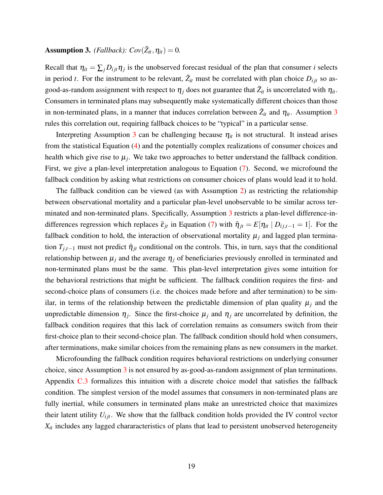# <span id="page-19-0"></span>**Assumption 3.** *(Fallback):*  $Cov(\tilde{Z}_{it}, \eta_{it}) = 0$ .

Recall that  $\eta_{it} = \sum_j D_{ijt} \eta_j$  is the unobserved forecast residual of the plan that consumer *i* selects in period *t*. For the instrument to be relevant,  $\tilde{Z}_{it}$  must be correlated with plan choice  $D_{ijt}$  so asgood-as-random assignment with respect to  $\eta_j$  does not guarantee that  $\tilde{Z}_{it}$  is uncorrelated with  $\eta_{it}$ . Consumers in terminated plans may subsequently make systematically different choices than those in non-terminated plans, in a manner that induces correlation between  $\tilde{Z}_{it}$  and  $\eta_{it}$ . Assumption [3](#page-19-0) rules this correlation out, requiring fallback choices to be "typical" in a particular sense.

Interpreting Assumption [3](#page-19-0) can be challenging because  $\eta_{it}$  is not structural. It instead arises from the statistical Equation [\(4\)](#page-14-2) and the potentially complex realizations of consumer choices and health which give rise to  $\mu_j$ . We take two approaches to better understand the fallback condition. First, we give a plan-level interpretation analogous to Equation [\(7\)](#page-18-2). Second, we microfound the fallback condition by asking what restrictions on consumer choices of plans would lead it to hold.

The fallback condition can be viewed (as with Assumption [2\)](#page-18-0) as restricting the relationship between observational mortality and a particular plan-level unobservable to be similar across terminated and non-terminated plans. Specifically, Assumption [3](#page-19-0) restricts a plan-level difference-indifferences regression which replaces  $\bar{\varepsilon}_{jt}$  in Equation [\(7\)](#page-18-2) with  $\bar{\eta}_{jt} = E[\eta_{it} | D_{ij,t-1} = 1]$ . For the fallback condition to hold, the interaction of observational mortality  $\mu_j$  and lagged plan termination  $T_{j,t-1}$  must not predict  $\bar{\eta}_{jt}$  conditional on the controls. This, in turn, says that the conditional relationship between  $\mu_j$  and the average  $\eta_j$  of beneficiaries previously enrolled in terminated and non-terminated plans must be the same. This plan-level interpretation gives some intuition for the behavioral restrictions that might be sufficient. The fallback condition requires the first- and second-choice plans of consumers (i.e. the choices made before and after termination) to be similar, in terms of the relationship between the predictable dimension of plan quality  $\mu_i$  and the unpredictable dimension  $\eta_j$ . Since the first-choice  $\mu_j$  and  $\eta_j$  are uncorrelated by definition, the fallback condition requires that this lack of correlation remains as consumers switch from their first-choice plan to their second-choice plan. The fallback condition should hold when consumers, after terminations, make similar choices from the remaining plans as new consumers in the market.

Microfounding the fallback condition requires behavioral restrictions on underlying consumer choice, since Assumption [3](#page-19-0) is not ensured by as-good-as-random assignment of plan terminations. Appendix [C.3](#page-56-0) formalizes this intuition with a discrete choice model that satisfies the fallback condition. The simplest version of the model assumes that consumers in non-terminated plans are fully inertial, while consumers in terminated plans make an unrestricted choice that maximizes their latent utility  $U_{ijt}$ . We show that the fallback condition holds provided the IV control vector  $X_{it}$  includes any lagged chararacteristics of plans that lead to persistent unobserved heterogeneity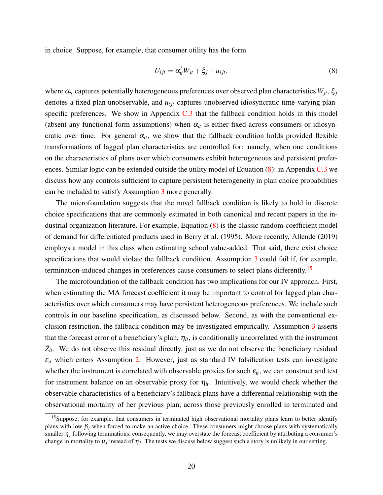in choice. Suppose, for example, that consumer utility has the form

<span id="page-20-0"></span>
$$
U_{ijt} = \alpha'_{it} W_{jt} + \xi_j + u_{ijt},
$$
\n(8)

where  $\alpha_i$  captures potentially heterogeneous preferences over observed plan characteristics  $W_{jt}$ ,  $\xi_j$ denotes a fixed plan unobservable, and  $u_{ijt}$  captures unobserved idiosyncratic time-varying planspecific preferences. We show in Appendix  $C.3$  that the fallback condition holds in this model (absent any functional form assumptions) when  $\alpha_{it}$  is either fixed across consumers or idiosyncratic over time. For general  $\alpha_{it}$ , we show that the fallback condition holds provided flexible transformations of lagged plan characteristics are controlled for: namely, when one conditions on the characteristics of plans over which consumers exhibit heterogeneous and persistent preferences. Similar logic can be extended outside the utility model of Equation [\(8\)](#page-20-0): in Appendix [C.3](#page-56-0) we discuss how any controls sufficient to capture persistent heterogeneity in plan choice probabilities can be included to satisfy Assumption [3](#page-19-0) more generally.

The microfoundation suggests that the novel fallback condition is likely to hold in discrete choice specifications that are commonly estimated in both canonical and recent papers in the industrial organization literature. For example, Equation [\(8\)](#page-20-0) is the classic random-coefficient model of demand for differentiated products used in [Berry et al.](#page-42-7) [\(1995\)](#page-42-7). More recently, [Allende](#page-42-8) [\(2019\)](#page-42-8) employs a model in this class when estimating school value-added. That said, there exist choice specifications that would violate the fallback condition. Assumption [3](#page-19-0) could fail if, for example, termination-induced changes in preferences cause consumers to select plans differently.<sup>[15](#page-20-1)</sup>

The microfoundation of the fallback condition has two implications for our IV approach. First, when estimating the MA forecast coefficient it may be important to control for lagged plan characteristics over which consumers may have persistent heterogeneous preferences. We include such controls in our baseline specification, as discussed below. Second, as with the conventional exclusion restriction, the fallback condition may be investigated empirically. Assumption [3](#page-19-0) asserts that the forecast error of a beneficiary's plan,  $\eta_{it}$ , is conditionally uncorrelated with the instrument  $\tilde{Z}_{it}$ . We do not observe this residual directly, just as we do not observe the beneficiary residual  $\varepsilon_{it}$  which enters Assumption [2.](#page-18-0) However, just as standard IV falsification tests can investigate whether the instrument is correlated with observable proxies for such  $\varepsilon_{it}$ , we can construct and test for instrument balance on an observable proxy for  $\eta_{it}$ . Intuitively, we would check whether the observable characteristics of a beneficiary's fallback plans have a differential relationship with the observational mortality of her previous plan, across those previously enrolled in terminated and

<span id="page-20-1"></span><sup>&</sup>lt;sup>15</sup>Suppose, for example, that consumers in terminated high observational mortality plans learn to better identify plans with low  $\beta_j$  when forced to make an active choice. These consumers might choose plans with systematically smaller  $\eta_i$  following terminations; consequently, we may overstate the forecast coefficient by attributing a consumer's change in mortality to  $\mu_j$  instead of  $\eta_j$ . The tests we discuss below suggest such a story is unlikely in our setting.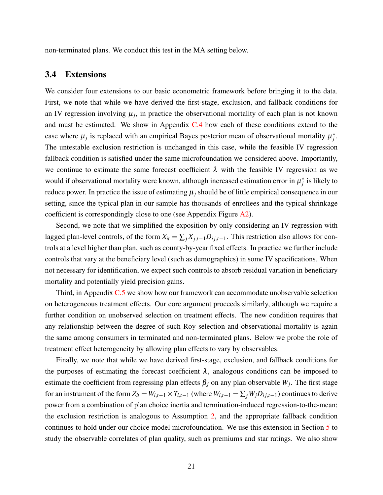non-terminated plans. We conduct this test in the MA setting below.

#### <span id="page-21-0"></span>3.4 Extensions

We consider four extensions to our basic econometric framework before bringing it to the data. First, we note that while we have derived the first-stage, exclusion, and fallback conditions for an IV regression involving  $\mu_j$ , in practice the observational mortality of each plan is not known and must be estimated. We show in Appendix  $C.4$  how each of these conditions extend to the case where  $\mu_j$  is replaced with an empirical Bayes posterior mean of observational mortality  $\mu_j^*$ . The untestable exclusion restriction is unchanged in this case, while the feasible IV regression fallback condition is satisfied under the same microfoundation we considered above. Importantly, we continue to estimate the same forecast coefficient  $\lambda$  with the feasible IV regression as we would if observational mortality were known, although increased estimation error in  $\mu_j^*$  is likely to reduce power. In practice the issue of estimating  $\mu_j$  should be of little empirical consequence in our setting, since the typical plan in our sample has thousands of enrollees and the typical shrinkage coefficient is correspondingly close to one (see Appendix Figure [A2\)](#page-47-0).

Second, we note that we simplified the exposition by only considering an IV regression with lagged plan-level controls, of the form  $X_{it} = \sum_j X_{j,t-1} D_{ij,t-1}$ . This restriction also allows for controls at a level higher than plan, such as county-by-year fixed effects. In practice we further include controls that vary at the beneficiary level (such as demographics) in some IV specifications. When not necessary for identification, we expect such controls to absorb residual variation in beneficiary mortality and potentially yield precision gains.

Third, in Appendix [C.5](#page-59-0) we show how our framework can accommodate unobservable selection on heterogeneous treatment effects. Our core argument proceeds similarly, although we require a further condition on unobserved selection on treatment effects. The new condition requires that any relationship between the degree of such Roy selection and observational mortality is again the same among consumers in terminated and non-terminated plans. Below we probe the role of treatment effect heterogeneity by allowing plan effects to vary by observables.

Finally, we note that while we have derived first-stage, exclusion, and fallback conditions for the purposes of estimating the forecast coefficient  $\lambda$ , analogous conditions can be imposed to estimate the coefficient from regressing plan effects  $\beta_j$  on any plan observable  $W_j$ . The first stage for an instrument of the form  $Z_{it} = W_{i,t-1} \times T_{i,t-1}$  (where  $W_{i,t-1} = \sum_j W_j D_{i,j,t-1}$ ) continues to derive power from a combination of plan choice inertia and termination-induced regression-to-the-mean; the exclusion restriction is analogous to Assumption [2,](#page-18-0) and the appropriate fallback condition continues to hold under our choice model microfoundation. We use this extension in Section [5](#page-29-0) to study the observable correlates of plan quality, such as premiums and star ratings. We also show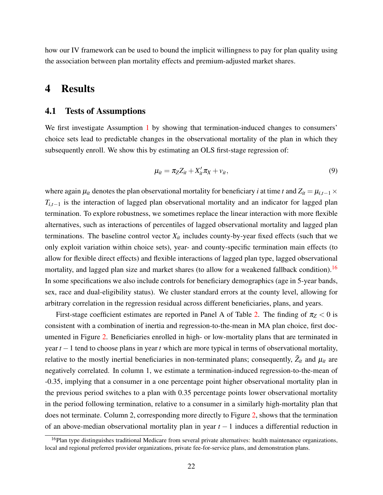how our IV framework can be used to bound the implicit willingness to pay for plan quality using the association between plan mortality effects and premium-adjusted market shares.

# <span id="page-22-0"></span>4 Results

#### <span id="page-22-1"></span>4.1 Tests of Assumptions

We first investigate Assumption [1](#page-17-1) by showing that termination-induced changes to consumers' choice sets lead to predictable changes in the observational mortality of the plan in which they subsequently enroll. We show this by estimating an OLS first-stage regression of:

<span id="page-22-3"></span>
$$
\mu_{it} = \pi_Z Z_{it} + X_{it}' \pi_X + v_{it},\tag{9}
$$

where again  $\mu_{it}$  denotes the plan observational mortality for beneficiary *i* at time *t* and  $Z_{it} = \mu_{i,t-1} \times$  $T_{i,t-1}$  is the interaction of lagged plan observational mortality and an indicator for lagged plan termination. To explore robustness, we sometimes replace the linear interaction with more flexible alternatives, such as interactions of percentiles of lagged observational mortality and lagged plan terminations. The baseline control vector  $X_{it}$  includes county-by-year fixed effects (such that we only exploit variation within choice sets), year- and county-specific termination main effects (to allow for flexible direct effects) and flexible interactions of lagged plan type, lagged observational mortality, and lagged plan size and market shares (to allow for a weakened fallback condition).<sup>[16](#page-22-2)</sup> In some specifications we also include controls for beneficiary demographics (age in 5-year bands, sex, race and dual-eligibility status). We cluster standard errors at the county level, allowing for arbitrary correlation in the regression residual across different beneficiaries, plans, and years.

First-stage coefficient estimates are reported in Panel A of Table [2.](#page-23-0) The finding of  $\pi$ <sub>Z</sub> < 0 is consistent with a combination of inertia and regression-to-the-mean in MA plan choice, first documented in Figure [2.](#page-12-1) Beneficiaries enrolled in high- or low-mortality plans that are terminated in year *t* −1 tend to choose plans in year *t* which are more typical in terms of observational mortality, relative to the mostly inertial beneficiaries in non-terminated plans; consequently,  $\tilde{Z}_{it}$  and  $\mu_{it}$  are negatively correlated. In column 1, we estimate a termination-induced regression-to-the-mean of -0.35, implying that a consumer in a one percentage point higher observational mortality plan in the previous period switches to a plan with 0.35 percentage points lower observational mortality in the period following termination, relative to a consumer in a similarly high-mortality plan that does not terminate. Column 2, corresponding more directly to Figure [2,](#page-12-1) shows that the termination of an above-median observational mortality plan in year *t* − 1 induces a differential reduction in

<span id="page-22-2"></span><sup>&</sup>lt;sup>16</sup>Plan type distinguishes traditional Medicare from several private alternatives: health maintenance organizations, local and regional preferred provider organizations, private fee-for-service plans, and demonstration plans.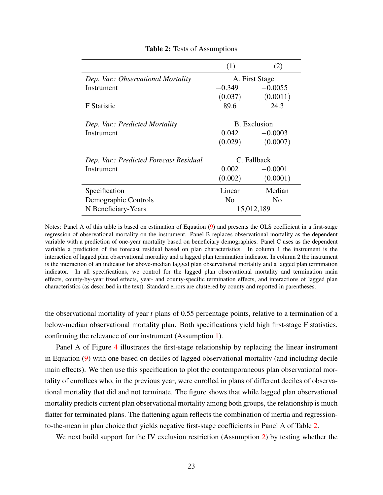<span id="page-23-0"></span>

|                                        | (1)            | (2)                 |
|----------------------------------------|----------------|---------------------|
| Dep. Var.: Observational Mortality     | A. First Stage |                     |
| Instrument                             | $-0.349$       | $-0.0055$           |
|                                        | (0.037)        | (0.0011)            |
| <b>F</b> Statistic                     | 89.6           | 24.3                |
|                                        |                | <b>B.</b> Exclusion |
| Dep. Var.: Predicted Mortality         |                |                     |
| Instrument                             | 0.042          | $-0.0003$           |
|                                        | (0.029)        | (0.0007)            |
| Dep. Var.: Predicted Forecast Residual |                | C. Fallback         |
| Instrument                             | 0.002          | $-0.0001$           |
|                                        | (0.002)        | (0.0001)            |
| Specification                          | Linear         | Median              |
| Demographic Controls                   | N <sub>0</sub> | N <sub>0</sub>      |
| N Beneficiary-Years                    |                | 15,012,189          |

#### Table 2: Tests of Assumptions

Notes: Panel A of this table is based on estimation of Equation [\(9\)](#page-22-3) and presents the OLS coefficient in a first-stage regression of observational mortality on the instrument. Panel B replaces observational mortality as the dependent variable with a prediction of one-year mortality based on beneficiary demographics. Panel C uses as the dependent variable a prediction of the forecast residual based on plan characteristics. In column 1 the instrument is the interaction of lagged plan observational mortality and a lagged plan termination indicator. In column 2 the instrument is the interaction of an indicator for above-median lagged plan observational mortality and a lagged plan termination indicator. In all specifications, we control for the lagged plan observational mortality and termination main effects, county-by-year fixed effects, year- and county-specific termination effects, and interactions of lagged plan characteristics (as described in the text). Standard errors are clustered by county and reported in parentheses.

the observational mortality of year *t* plans of 0.55 percentage points, relative to a termination of a below-median observational mortality plan. Both specifications yield high first-stage F statistics, confirming the relevance of our instrument (Assumption [1\)](#page-17-1).

Panel A of Figure [4](#page-24-0) illustrates the first-stage relationship by replacing the linear instrument in Equation [\(9\)](#page-22-3) with one based on deciles of lagged observational mortality (and including decile main effects). We then use this specification to plot the contemporaneous plan observational mortality of enrollees who, in the previous year, were enrolled in plans of different deciles of observational mortality that did and not terminate. The figure shows that while lagged plan observational mortality predicts current plan observational mortality among both groups, the relationship is much flatter for terminated plans. The flattening again reflects the combination of inertia and regressionto-the-mean in plan choice that yields negative first-stage coefficients in Panel A of Table [2.](#page-23-0)

We next build support for the IV exclusion restriction (Assumption [2\)](#page-18-0) by testing whether the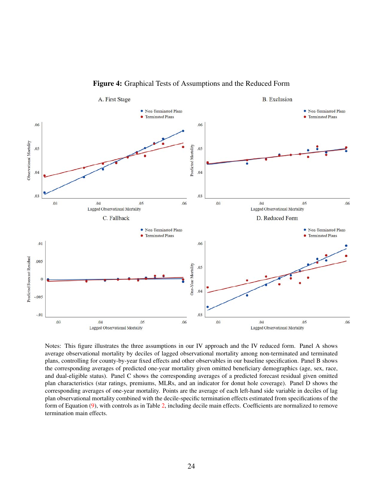<span id="page-24-0"></span>

Figure 4: Graphical Tests of Assumptions and the Reduced Form

Notes: This figure illustrates the three assumptions in our IV approach and the IV reduced form. Panel A shows average observational mortality by deciles of lagged observational mortality among non-terminated and terminated plans, controlling for county-by-year fixed effects and other observables in our baseline specification. Panel B shows the corresponding averages of predicted one-year mortality given omitted beneficiary demographics (age, sex, race, and dual-eligible status). Panel C shows the corresponding averages of a predicted forecast residual given omitted plan characteristics (star ratings, premiums, MLRs, and an indicator for donut hole coverage). Panel D shows the corresponding averages of one-year mortality. Points are the average of each left-hand side variable in deciles of lag plan observational mortality combined with the decile-specific termination effects estimated from specifications of the form of Equation [\(9\)](#page-22-3), with controls as in Table [2,](#page-23-0) including decile main effects. Coefficients are normalized to remove termination main effects.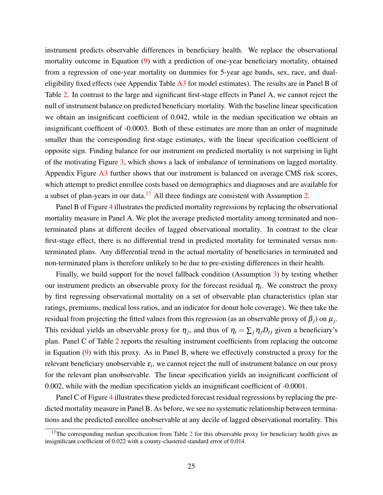instrument predicts observable differences in beneficiary health. We replace the observational mortality outcome in Equation [\(9\)](#page-22-3) with a prediction of one-year beneficiary mortality, obtained from a regression of one-year mortality on dummies for 5-year age bands, sex, race, and dualeligibility fixed effects (see Appendix Table [A3](#page-51-0) for model estimates). The results are in Panel B of Table [2.](#page-23-0) In contrast to the large and significant first-stage effects in Panel A, we cannot reject the null of instrument balance on predicted beneficiary mortality. With the baseline linear specification we obtain an insignificant coefficient of 0.042, while in the median specification we obtain an insignificant coefficent of -0.0003. Both of these estimates are more than an order of magnitude smaller than the corresponding first-stage estimates, with the linear specification coefficient of opposite sign. Finding balance for our instrument on predicted mortality is not surprising in light of the motivating Figure [3,](#page-13-0) which shows a lack of imbalance of terminations on lagged mortality. Appendix Figure [A3](#page-48-0) further shows that our instrument is balanced on average CMS risk scores, which attempt to predict enrollee costs based on demographics and diagnoses and are available for a subset of plan-years in our data.<sup>[17](#page-25-0)</sup> All three findings are consistent with Assumption [2.](#page-18-0)

Panel B of Figure [4](#page-24-0) illustrates the predicted mortality regressions by replacing the observational mortality measure in Panel A. We plot the average predicted mortality among terminated and nonterminated plans at different deciles of lagged observational mortality. In contrast to the clear first-stage effect, there is no differential trend in predicted mortality for terminated versus nonterminated plans. Any differential trend in the actual mortality of beneficiaries in terminated and non-terminated plans is therefore unlikely to be due to pre-existing differences in their health.

Finally, we build support for the novel fallback condition (Assumption [3\)](#page-19-0) by testing whether our instrument predicts an observable proxy for the forecast residual  $\eta_i$ . We construct the proxy by first regressing observational mortality on a set of observable plan characteristics (plan star ratings, premiums, medical loss ratios, and an indicator for donut hole coverage). We then take the residual from projecting the fitted values from this regression (as an observable proxy of  $\beta_j$ ) on  $\mu_j$ . This residual yields an observable proxy for  $\eta_j$ , and thus of  $\eta_i = \sum_j \eta_j D_{ij}$  given a beneficiary's plan. Panel C of Table [2](#page-23-0) reports the resulting instrument coefficients from replacing the outcome in Equation [\(9\)](#page-22-3) with this proxy. As in Panel B, where we effectively constructed a proxy for the relevant beneficiary unobservable  $\varepsilon$ <sub>*i*</sub>, we cannot reject the null of instrument balance on our proxy for the relevant plan unobservable. The linear specification yields an insignificant coefficient of 0.002, while with the median specification yields an insignificant coefficient of -0.0001.

Panel C of Figure [4](#page-24-0) illustrates these predicted forecast residual regressions by replacing the predicted mortality measure in Panel B. As before, we see no systematic relationship between terminations and the predicted enrollee unobservable at any decile of lagged observational mortality. This

<span id="page-25-0"></span> $17$ The corresponding median specification from Table  $2$  for this observable proxy for beneficiary health gives an insignificant coefficient of 0.022 with a county-clustered standard error of 0.014.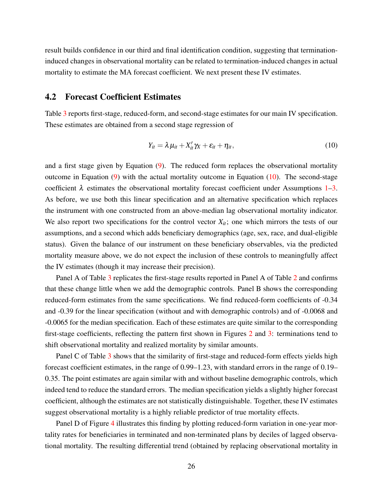result builds confidence in our third and final identification condition, suggesting that terminationinduced changes in observational mortality can be related to termination-induced changes in actual mortality to estimate the MA forecast coefficient. We next present these IV estimates.

#### <span id="page-26-1"></span>4.2 Forecast Coefficient Estimates

Table [3](#page-27-0) reports first-stage, reduced-form, and second-stage estimates for our main IV specification. These estimates are obtained from a second stage regression of

<span id="page-26-0"></span>
$$
Y_{it} = \lambda \mu_{it} + X_{it}' \gamma_X + \varepsilon_{it} + \eta_{it}, \qquad (10)
$$

and a first stage given by Equation  $(9)$ . The reduced form replaces the observational mortality outcome in Equation  $(9)$  with the actual mortality outcome in Equation  $(10)$ . The second-stage coefficient  $\lambda$  estimates the observational mortality forecast coefficient under Assumptions [1](#page-17-1)[–3.](#page-19-0) As before, we use both this linear specification and an alternative specification which replaces the instrument with one constructed from an above-median lag observational mortality indicator. We also report two specifications for the control vector  $X_{it}$ ; one which mirrors the tests of our assumptions, and a second which adds beneficiary demographics (age, sex, race, and dual-eligible status). Given the balance of our instrument on these beneficiary observables, via the predicted mortality measure above, we do not expect the inclusion of these controls to meaningfully affect the IV estimates (though it may increase their precision).

Panel A of Table [3](#page-27-0) replicates the first-stage results reported in Panel A of Table [2](#page-23-0) and confirms that these change little when we add the demographic controls. Panel B shows the corresponding reduced-form estimates from the same specifications. We find reduced-form coefficients of -0.34 and -0.39 for the linear specification (without and with demographic controls) and of -0.0068 and -0.0065 for the median specification. Each of these estimates are quite similar to the corresponding first-stage coefficients, reflecting the pattern first shown in Figures [2](#page-12-1) and [3:](#page-13-0) terminations tend to shift observational mortality and realized mortality by similar amounts.

Panel C of Table [3](#page-27-0) shows that the similarity of first-stage and reduced-form effects yields high forecast coefficient estimates, in the range of 0.99–1.23, with standard errors in the range of 0.19– 0.35. The point estimates are again similar with and without baseline demographic controls, which indeed tend to reduce the standard errors. The median specification yields a slightly higher forecast coefficient, although the estimates are not statistically distinguishable. Together, these IV estimates suggest observational mortality is a highly reliable predictor of true mortality effects.

Panel D of Figure [4](#page-24-0) illustrates this finding by plotting reduced-form variation in one-year mortality rates for beneficiaries in terminated and non-terminated plans by deciles of lagged observational mortality. The resulting differential trend (obtained by replacing observational mortality in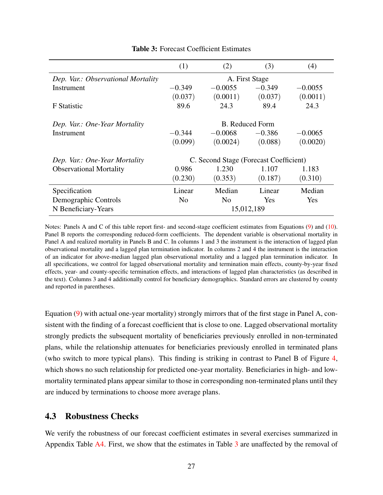<span id="page-27-0"></span>

|                                    | (1)                    | (2)                                    | (3)        | (4)       |
|------------------------------------|------------------------|----------------------------------------|------------|-----------|
| Dep. Var.: Observational Mortality | A. First Stage         |                                        |            |           |
| Instrument                         | $-0.349$               | $-0.0055$                              | $-0.349$   | $-0.0055$ |
|                                    | (0.037)                | (0.0011)                               | (0.037)    | (0.0011)  |
| <b>F</b> Statistic                 | 89.6                   | 24.3                                   | 89.4       | 24.3      |
| Dep. Var.: One-Year Mortality      | <b>B.</b> Reduced Form |                                        |            |           |
| Instrument                         | $-0.344$               | $-0.0068$                              | $-0.386$   | $-0.0065$ |
|                                    | (0.099)                | (0.0024)                               | (0.088)    | (0.0020)  |
| Dep. Var.: One-Year Mortality      |                        | C. Second Stage (Forecast Coefficient) |            |           |
| <b>Observational Mortality</b>     | 0.986                  | 1.230                                  | 1.107      | 1.183     |
|                                    | (0.230)                | (0.353)                                | (0.187)    | (0.310)   |
| Specification                      | Linear                 | Median                                 | Linear     | Median    |
| Demographic Controls               | N <sub>0</sub>         | N <sub>0</sub>                         | Yes        | Yes       |
| N Beneficiary-Years                |                        |                                        | 15,012,189 |           |

Table 3: Forecast Coefficient Estimates

Notes: Panels A and C of this table report first- and second-stage coefficient estimates from Equations [\(9\)](#page-22-3) and [\(10\)](#page-26-0). Panel B reports the corresponding reduced-form coefficients. The dependent variable is observational mortality in Panel A and realized mortality in Panels B and C. In columns 1 and 3 the instrument is the interaction of lagged plan observational mortality and a lagged plan termination indicator. In columns 2 and 4 the instrument is the interaction of an indicator for above-median lagged plan observational mortality and a lagged plan termination indicator. In all specifications, we control for lagged observational mortality and termination main effects, county-by-year fixed effects, year- and county-specific termination effects, and interactions of lagged plan characteristics (as described in the text). Columns 3 and 4 additionally control for beneficiary demographics. Standard errors are clustered by county and reported in parentheses.

Equation [\(9\)](#page-22-3) with actual one-year mortality) strongly mirrors that of the first stage in Panel A, consistent with the finding of a forecast coefficient that is close to one. Lagged observational mortality strongly predicts the subsequent mortality of beneficiaries previously enrolled in non-terminated plans, while the relationship attenuates for beneficiaries previously enrolled in terminated plans (who switch to more typical plans). This finding is striking in contrast to Panel B of Figure [4,](#page-24-0) which shows no such relationship for predicted one-year mortality. Beneficiaries in high- and lowmortality terminated plans appear similar to those in corresponding non-terminated plans until they are induced by terminations to choose more average plans.

#### <span id="page-27-1"></span>4.3 Robustness Checks

We verify the robustness of our forecast coefficient estimates in several exercises summarized in Appendix Table [A4.](#page-52-0) First, we show that the estimates in Table [3](#page-27-0) are unaffected by the removal of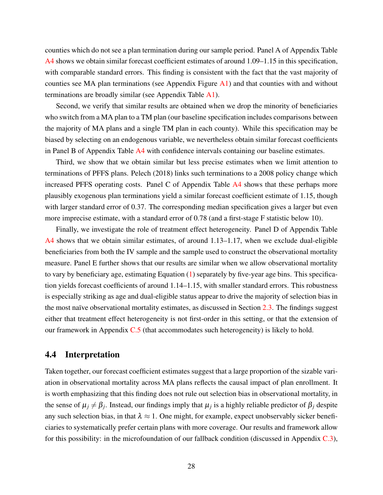counties which do not see a plan termination during our sample period. Panel A of Appendix Table [A4](#page-52-0) shows we obtain similar forecast coefficient estimates of around 1.09–1.15 in this specification, with comparable standard errors. This finding is consistent with the fact that the vast majority of counties see MA plan terminations (see Appendix Figure  $\overline{A}1$ ) and that counties with and without terminations are broadly similar (see Appendix Table [A1\)](#page-49-0).

Second, we verify that similar results are obtained when we drop the minority of beneficiaries who switch from a MA plan to a TM plan (our baseline specification includes comparisons between the majority of MA plans and a single TM plan in each county). While this specification may be biased by selecting on an endogenous variable, we nevertheless obtain similar forecast coefficients in Panel B of Appendix Table [A4](#page-52-0) with confidence intervals containing our baseline estimates.

Third, we show that we obtain similar but less precise estimates when we limit attention to terminations of PFFS plans. [Pelech](#page-45-5) [\(2018\)](#page-45-5) links such terminations to a 2008 policy change which increased PFFS operating costs. Panel C of Appendix Table [A4](#page-52-0) shows that these perhaps more plausibly exogenous plan terminations yield a similar forecast coefficient estimate of 1.15, though with larger standard error of 0.37. The corresponding median specification gives a larger but even more imprecise estimate, with a standard error of 0.78 (and a first-stage F statistic below 10).

Finally, we investigate the role of treatment effect heterogeneity. Panel D of Appendix Table  $A4$  shows that we obtain similar estimates, of around 1.13–1.17, when we exclude dual-eligible beneficiaries from both the IV sample and the sample used to construct the observational mortality measure. Panel E further shows that our results are similar when we allow observational mortality to vary by beneficiary age, estimating Equation [\(1\)](#page-9-1) separately by five-year age bins. This specification yields forecast coefficients of around 1.14–1.15, with smaller standard errors. This robustness is especially striking as age and dual-eligible status appear to drive the majority of selection bias in the most naïve observational mortality estimates, as discussed in Section [2.3.](#page-8-3) The findings suggest either that treatment effect heterogeneity is not first-order in this setting, or that the extension of our framework in Appendix [C.5](#page-59-0) (that accommodates such heterogeneity) is likely to hold.

### 4.4 Interpretation

Taken together, our forecast coefficient estimates suggest that a large proportion of the sizable variation in observational mortality across MA plans reflects the causal impact of plan enrollment. It is worth emphasizing that this finding does not rule out selection bias in observational mortality, in the sense of  $\mu_j \neq \beta_j$ . Instead, our findings imply that  $\mu_j$  is a highly reliable predictor of  $\beta_j$  despite any such selection bias, in that  $\lambda \approx 1$ . One might, for example, expect unobservably sicker beneficiaries to systematically prefer certain plans with more coverage. Our results and framework allow for this possibility: in the microfoundation of our fallback condition (discussed in Appendix  $C.3$ ),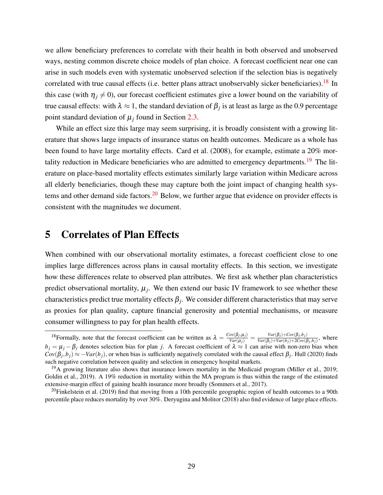we allow beneficiary preferences to correlate with their health in both observed and unobserved ways, nesting common discrete choice models of plan choice. A forecast coefficient near one can arise in such models even with systematic unobserved selection if the selection bias is negatively correlated with true causal effects (i.e. better plans attract unobservably sicker beneficiaries).<sup>[18](#page-29-1)</sup> In this case (with  $\eta_j \neq 0$ ), our forecast coefficient estimates give a lower bound on the variability of true causal effects: with  $\lambda \approx 1$ , the standard deviation of  $\beta_j$  is at least as large as the 0.9 percentage point standard deviation of  $\mu_j$  found in Section [2.3.](#page-8-3)

While an effect size this large may seem surprising, it is broadly consistent with a growing literature that shows large impacts of insurance status on health outcomes. Medicare as a whole has been found to have large mortality effects. [Card et al.](#page-42-1) [\(2008\)](#page-42-1), for example, estimate a 20% mor-tality reduction in Medicare beneficiaries who are admitted to emergency departments.<sup>[19](#page-29-2)</sup> The literature on place-based mortality effects estimates similarly large variation within Medicare across all elderly beneficiaries, though these may capture both the joint impact of changing health sys-tems and other demand side factors.<sup>[20](#page-29-3)</sup> Below, we further argue that evidence on provider effects is consistent with the magnitudes we document.

# <span id="page-29-0"></span>5 Correlates of Plan Effects

When combined with our observational mortality estimates, a forecast coefficient close to one implies large differences across plans in causal mortality effects. In this section, we investigate how these differences relate to observed plan attributes. We first ask whether plan characteristics predict observational mortality,  $\mu_j$ . We then extend our basic IV framework to see whether these characteristics predict true mortality effects  $\beta_j$ . We consider different characteristics that may serve as proxies for plan quality, capture financial generosity and potential mechanisms, or measure consumer willingness to pay for plan health effects.

<span id="page-29-1"></span><sup>&</sup>lt;sup>18</sup> Formally, note that the forecast coefficient can be written as  $\lambda = \frac{Cov(\beta_j, \mu_j)}{Var(\mu_j)} = \frac{Var(\beta_j)+Cov(\beta_j, \mu_j)}{Var(\beta_j)+Var(\mu_j)+2Cov(\beta_j, \mu_j)}$  $\frac{Var(\beta_j)+Cov(\beta_j,\theta_j)}{Var(\beta_j)+Var(b_j)+2Cov(\beta_j,b_j)}$ , where  $b_j = \mu_j - \beta_j$  denotes selection bias for plan *j*. A forecast coefficient of  $\lambda \approx 1$  can arise with non-zero bias when  $Cov(\beta_j, b_j) \approx -Var(b_j)$ , or when bias is sufficiently negatively correlated with the causal effect  $\beta_j$ . [Hull](#page-44-1) [\(2020\)](#page-44-1) finds such negative correlation between quality and selection in emergency hospital markets.

<span id="page-29-2"></span><sup>&</sup>lt;sup>19</sup>A growing literature also shows that insurance lowers mortality in the Medicaid program [\(Miller et al., 2019;](#page-45-0) [Goldin et al., 2019\)](#page-44-2). A 19% reduction in mortality within the MA program is thus within the range of the estimated extensive-margin effect of gaining health insurance more broadly [\(Sommers et al., 2017\)](#page-45-8).

<span id="page-29-3"></span><sup>&</sup>lt;sup>20</sup>[Finkelstein et al.](#page-44-13) [\(2019\)](#page-44-13) find that moving from a 10th percentile geographic region of health outcomes to a 90th percentile place reduces mortality by over 30%. [Deryugina and Molitor](#page-43-5) [\(2018\)](#page-43-5) also find evidence of large place effects.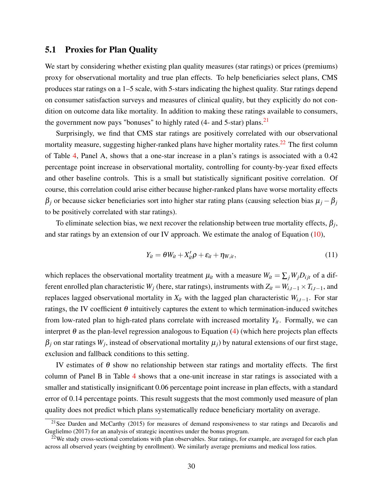#### <span id="page-30-2"></span>5.1 Proxies for Plan Quality

We start by considering whether existing plan quality measures (star ratings) or prices (premiums) proxy for observational mortality and true plan effects. To help beneficiaries select plans, CMS produces star ratings on a 1–5 scale, with 5-stars indicating the highest quality. Star ratings depend on consumer satisfaction surveys and measures of clinical quality, but they explicitly do not condition on outcome data like mortality. In addition to making these ratings available to consumers, the government now pays "bonuses" to highly rated (4- and 5-star) plans.<sup>[21](#page-30-0)</sup>

Surprisingly, we find that CMS star ratings are positively correlated with our observational mortality measure, suggesting higher-ranked plans have higher mortality rates.<sup>[22](#page-30-1)</sup> The first column of Table [4,](#page-31-0) Panel A, shows that a one-star increase in a plan's ratings is associated with a 0.42 percentage point increase in observational mortality, controlling for county-by-year fixed effects and other baseline controls. This is a small but statistically significant positive correlation. Of course, this correlation could arise either because higher-ranked plans have worse mortality effects  $β_j$  or because sicker beneficiaries sort into higher star rating plans (causing selection bias  $μ_j - β_j$ to be positively correlated with star ratings).

To eliminate selection bias, we next recover the relationship between true mortality effects,  $\beta_j$ , and star ratings by an extension of our IV approach. We estimate the analog of Equation [\(10\)](#page-26-0),

$$
Y_{it} = \theta W_{it} + X_{it}' \rho + \varepsilon_{it} + \eta_{W, it}, \qquad (11)
$$

which replaces the observational mortality treatment  $\mu_{it}$  with a measure  $W_{it} = \sum_j W_j D_{ijt}$  of a different enrolled plan characteristic  $W_j$  (here, star ratings), instruments with  $Z_{it} = W_{i,t-1} \times T_{i,t-1}$ , and replaces lagged observational mortality in  $X_{it}$  with the lagged plan characteristic  $W_{i,t-1}$ . For star ratings, the IV coefficient  $\theta$  intuitively captures the extent to which termination-induced switches from low-rated plan to high-rated plans correlate with increased mortality  $Y_{it}$ . Formally, we can interpret  $\theta$  as the plan-level regression analogous to Equation [\(4\)](#page-14-2) (which here projects plan effects  $\beta_j$  on star ratings  $W_j$ , instead of observational mortality  $\mu_j$ ) by natural extensions of our first stage, exclusion and fallback conditions to this setting.

IV estimates of  $\theta$  show no relationship between star ratings and mortality effects. The first column of Panel B in Table [4](#page-31-0) shows that a one-unit increase in star ratings is associated with a smaller and statistically insignificant 0.06 percentage point increase in plan effects, with a standard error of 0.14 percentage points. This result suggests that the most commonly used measure of plan quality does not predict which plans systematically reduce beneficiary mortality on average.

<span id="page-30-0"></span><sup>&</sup>lt;sup>21</sup>See [Darden and McCarthy](#page-43-6) [\(2015\)](#page-43-6) for measures of demand responsiveness to star ratings and [Decarolis and](#page-43-7) [Guglielmo](#page-43-7) [\(2017\)](#page-43-7) for an analysis of strategic incentives under the bonus program.

<span id="page-30-1"></span><sup>&</sup>lt;sup>22</sup>We study cross-sectional correlations with plan observables. Star ratings, for example, are averaged for each plan across all observed years (weighting by enrollment). We similarly average premiums and medical loss ratios.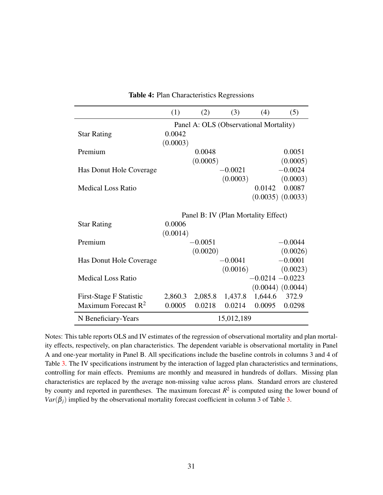<span id="page-31-0"></span>

|                           | (1)      | (2)       | (3)                                    | (4)                | (5)                   |
|---------------------------|----------|-----------|----------------------------------------|--------------------|-----------------------|
|                           |          |           | Panel A: OLS (Observational Mortality) |                    |                       |
| <b>Star Rating</b>        | 0.0042   |           |                                        |                    |                       |
|                           | (0.0003) |           |                                        |                    |                       |
| Premium                   |          | 0.0048    |                                        |                    | 0.0051                |
|                           |          | (0.0005)  |                                        |                    | (0.0005)              |
| Has Donut Hole Coverage   |          |           | $-0.0021$                              |                    | $-0.0024$             |
|                           |          |           | (0.0003)                               |                    | (0.0003)              |
| <b>Medical Loss Ratio</b> |          |           |                                        | 0.0142             | 0.0087                |
|                           |          |           |                                        |                    | $(0.0035)$ $(0.0033)$ |
|                           |          |           | Panel B: IV (Plan Mortality Effect)    |                    |                       |
| <b>Star Rating</b>        | 0.0006   |           |                                        |                    |                       |
|                           | (0.0014) |           |                                        |                    |                       |
| Premium                   |          | $-0.0051$ |                                        |                    | $-0.0044$             |
|                           |          | (0.0020)  |                                        |                    | (0.0026)              |
| Has Donut Hole Coverage   |          |           | $-0.0041$                              |                    | $-0.0001$             |
|                           |          |           | (0.0016)                               |                    | (0.0023)              |
| <b>Medical Loss Ratio</b> |          |           |                                        | $-0.0214 - 0.0223$ |                       |
|                           |          |           |                                        |                    | $(0.0044)$ $(0.0044)$ |
| First-Stage F Statistic   | 2,860.3  | 2,085.8   | 1,437.8                                | 1,644.6            | 372.9                 |
| Maximum Forecast $R^2$    | 0.0005   | 0.0218    | 0.0214                                 | 0.0095             | 0.0298                |
| N Beneficiary-Years       |          |           | 15,012,189                             |                    |                       |

Table 4: Plan Characteristics Regressions

Notes: This table reports OLS and IV estimates of the regression of observational mortality and plan mortality effects, respectively, on plan characteristics. The dependent variable is observational mortality in Panel A and one-year mortality in Panel B. All specifications include the baseline controls in columns 3 and 4 of Table [3.](#page-27-0) The IV specifications instrument by the interaction of lagged plan characteristics and terminations, controlling for main effects. Premiums are monthly and measured in hundreds of dollars. Missing plan characteristics are replaced by the average non-missing value across plans. Standard errors are clustered by county and reported in parentheses. The maximum forecast  $R^2$  is computed using the lower bound of  $Var(\beta_i)$  implied by the observational mortality forecast coefficient in column 3 of Table [3.](#page-27-0)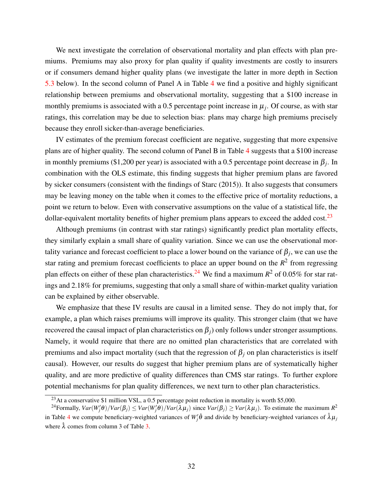We next investigate the correlation of observational mortality and plan effects with plan premiums. Premiums may also proxy for plan quality if quality investments are costly to insurers or if consumers demand higher quality plans (we investigate the latter in more depth in Section [5.3](#page-34-0) below). In the second column of Panel A in Table [4](#page-31-0) we find a positive and highly significant relationship between premiums and observational mortality, suggesting that a \$100 increase in monthly premiums is associated with a  $0.5$  percentage point increase in  $\mu_j$ . Of course, as with star ratings, this correlation may be due to selection bias: plans may charge high premiums precisely because they enroll sicker-than-average beneficiaries.

IV estimates of the premium forecast coefficient are negative, suggesting that more expensive plans are of higher quality. The second column of Panel B in Table [4](#page-31-0) suggests that a \$100 increase in monthly premiums (\$1,200 per year) is associated with a 0.5 percentage point decrease in  $\beta_j$ . In combination with the OLS estimate, this finding suggests that higher premium plans are favored by sicker consumers (consistent with the findings of [Starc](#page-45-9) [\(2015\)](#page-45-9)). It also suggests that consumers may be leaving money on the table when it comes to the effective price of mortality reductions, a point we return to below. Even with conservative assumptions on the value of a statistical life, the dollar-equivalent mortality benefits of higher premium plans appears to exceed the added cost.<sup>[23](#page-32-0)</sup>

Although premiums (in contrast with star ratings) significantly predict plan mortality effects, they similarly explain a small share of quality variation. Since we can use the observational mortality variance and forecast coefficient to place a lower bound on the variance of  $\beta_j$ , we can use the star rating and premium forecast coefficients to place an upper bound on the  $R<sup>2</sup>$  from regressing plan effects on either of these plan characteristics.<sup>[24](#page-32-1)</sup> We find a maximum  $R^2$  of 0.05% for star ratings and 2.18% for premiums, suggesting that only a small share of within-market quality variation can be explained by either observable.

We emphasize that these IV results are causal in a limited sense. They do not imply that, for example, a plan which raises premiums will improve its quality. This stronger claim (that we have recovered the causal impact of plan characteristics on  $β<sub>i</sub>$ ) only follows under stronger assumptions. Namely, it would require that there are no omitted plan characteristics that are correlated with premiums and also impact mortality (such that the regression of  $β<sub>j</sub>$  on plan characteristics is itself causal). However, our results do suggest that higher premium plans are of systematically higher quality, and are more predictive of quality differences than CMS star ratings. To further explore potential mechanisms for plan quality differences, we next turn to other plan characteristics.

<span id="page-32-1"></span><span id="page-32-0"></span><sup>&</sup>lt;sup>23</sup>At a conservative \$1 million VSL, a 0.5 percentage point reduction in mortality is worth \$5,000.

<sup>&</sup>lt;sup>24</sup> Formally,  $Var(W_j' \theta)/Var(\beta_j) \leq Var(W_j' \theta)/Var(\lambda \mu_j)$  since  $Var(\beta_j) \geq Var(\lambda \mu_j)$ . To estimate the maximum  $R^2$ in Table [4](#page-31-0) we compute beneficiary-weighted variances of  $W'_j \hat{\theta}$  and divide by beneficiary-weighted variances of  $\hat{\lambda} \mu_j$ where  $\hat{\lambda}$  comes from column 3 of Table [3.](#page-27-0)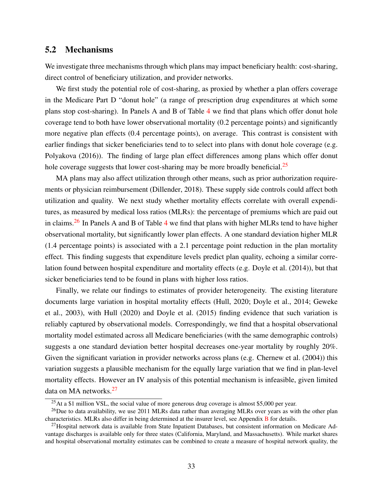#### <span id="page-33-3"></span>5.2 Mechanisms

We investigate three mechanisms through which plans may impact beneficiary health: cost-sharing, direct control of beneficiary utilization, and provider networks.

We first study the potential role of cost-sharing, as proxied by whether a plan offers coverage in the Medicare Part D "donut hole" (a range of prescription drug expenditures at which some plans stop cost-sharing). In Panels A and B of Table [4](#page-31-0) we find that plans which offer donut hole coverage tend to both have lower observational mortality (0.2 percentage points) and significantly more negative plan effects (0.4 percentage points), on average. This contrast is consistent with earlier findings that sicker beneficiaries tend to to select into plans with donut hole coverage (e.g. [Polyakova](#page-45-10) [\(2016\)](#page-45-10)). The finding of large plan effect differences among plans which offer donut hole coverage suggests that lower cost-sharing may be more broadly beneficial.<sup>[25](#page-33-0)</sup>

MA plans may also affect utilization through other means, such as prior authorization requirements or physician reimbursement [\(Dillender, 2018\)](#page-43-8). These supply side controls could affect both utilization and quality. We next study whether mortality effects correlate with overall expenditures, as measured by medical loss ratios (MLRs): the percentage of premiums which are paid out in claims.[26](#page-33-1) In Panels A and B of Table [4](#page-31-0) we find that plans with higher MLRs tend to have higher observational mortality, but significantly lower plan effects. A one standard deviation higher MLR (1.4 percentage points) is associated with a 2.1 percentage point reduction in the plan mortality effect. This finding suggests that expenditure levels predict plan quality, echoing a similar correlation found between hospital expenditure and mortality effects (e.g. [Doyle et al.](#page-43-9) [\(2014\)](#page-43-9)), but that sicker beneficiaries tend to be found in plans with higher loss ratios.

Finally, we relate our findings to estimates of provider heterogeneity. The existing literature documents large variation in hospital mortality effects [\(Hull, 2020;](#page-44-1) [Doyle et al., 2014;](#page-43-9) [Geweke](#page-44-12) [et al., 2003\)](#page-44-12), with [Hull](#page-44-1) [\(2020\)](#page-44-1) and [Doyle et al.](#page-43-10) [\(2015\)](#page-43-10) finding evidence that such variation is reliably captured by observational models. Correspondingly, we find that a hospital observational mortality model estimated across all Medicare beneficiaries (with the same demographic controls) suggests a one standard deviation better hospital decreases one-year mortality by roughly 20%. Given the significant variation in provider networks across plans (e.g. [Chernew et al.](#page-43-11) [\(2004\)](#page-43-11)) this variation suggests a plausible mechanism for the equally large variation that we find in plan-level mortality effects. However an IV analysis of this potential mechanism is infeasible, given limited data on MA networks.<sup>[27](#page-33-2)</sup>

<span id="page-33-1"></span><span id="page-33-0"></span><sup>&</sup>lt;sup>25</sup>At a \$1 million VSL, the social value of more generous drug coverage is almost \$5,000 per year.

 $^{26}$ Due to data availability, we use 2011 MLRs data rather than averaging MLRs over years as with the other plan characteristics. MLRs also differ in being determined at the insurer level, see Appendix [B](#page-53-0) for details.

<span id="page-33-2"></span> $^{27}$ Hospital network data is available from State Inpatient Databases, but consistent information on Medicare Advantage discharges is available only for three states (California, Maryland, and Massachusetts). While market shares and hospital observational mortality estimates can be combined to create a measure of hospital network quality, the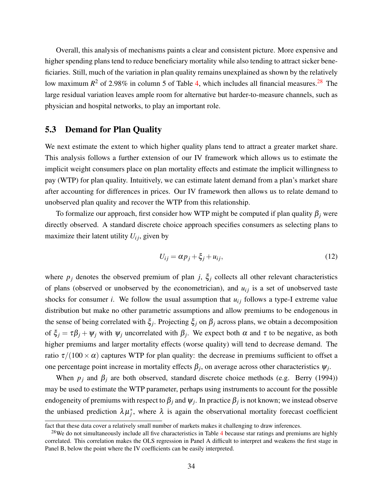Overall, this analysis of mechanisms paints a clear and consistent picture. More expensive and higher spending plans tend to reduce beneficiary mortality while also tending to attract sicker beneficiaries. Still, much of the variation in plan quality remains unexplained as shown by the relatively low maximum  $R^2$  of 2.98% in column 5 of Table [4,](#page-31-0) which includes all financial measures.<sup>[28](#page-34-1)</sup> The large residual variation leaves ample room for alternative but harder-to-measure channels, such as physician and hospital networks, to play an important role.

#### <span id="page-34-0"></span>5.3 Demand for Plan Quality

We next estimate the extent to which higher quality plans tend to attract a greater market share. This analysis follows a further extension of our IV framework which allows us to estimate the implicit weight consumers place on plan mortality effects and estimate the implicit willingness to pay (WTP) for plan quality. Intuitively, we can estimate latent demand from a plan's market share after accounting for differences in prices. Our IV framework then allows us to relate demand to unobserved plan quality and recover the WTP from this relationship.

To formalize our approach, first consider how WTP might be computed if plan quality  $\beta_i$  were directly observed. A standard discrete choice approach specifies consumers as selecting plans to maximize their latent utility  $U_{ij}$ , given by

<span id="page-34-2"></span>
$$
U_{ij} = \alpha p_j + \xi_j + u_{ij},\tag{12}
$$

where  $p_j$  denotes the observed premium of plan *j*,  $\xi_j$  collects all other relevant characteristics of plans (observed or unobserved by the econometrician), and  $u_{ij}$  is a set of unobserved taste shocks for consumer *i*. We follow the usual assumption that  $u_{ij}$  follows a type-I extreme value distribution but make no other parametric assumptions and allow premiums to be endogenous in the sense of being correlated with ξ*<sup>j</sup>* . Projecting ξ*<sup>j</sup>* on β*<sup>j</sup>* across plans, we obtain a decomposition of  $\xi_j = \tau \beta_j + \psi_j$  with  $\psi_j$  uncorrelated with  $\beta_j$ . We expect both  $\alpha$  and  $\tau$  to be negative, as both higher premiums and larger mortality effects (worse quality) will tend to decrease demand. The ratio  $\tau/(100 \times \alpha)$  captures WTP for plan quality: the decrease in premiums sufficient to offset a one percentage point increase in mortality effects  $\beta_j$ , on average across other characteristics  $\psi_j$ .

When  $p_i$  and  $\beta_i$  are both observed, standard discrete choice methods (e.g. [Berry](#page-42-9) [\(1994\)](#page-42-9)) may be used to estimate the WTP parameter, perhaps using instruments to account for the possible endogeneity of premiums with respect to  $\beta_j$  and  $\psi_j$ . In practice  $\beta_j$  is not known; we instead observe the unbiased prediction  $\lambda \mu_j^*$ , where  $\lambda$  is again the observational mortality forecast coefficient

fact that these data cover a relatively small number of markets makes it challenging to draw inferences.

<span id="page-34-1"></span> $28$ We do not simultaneously include all five characteristics in Table [4](#page-31-0) because star ratings and premiums are highly correlated. This correlation makes the OLS regression in Panel A difficult to interpret and weakens the first stage in Panel B, below the point where the IV coefficients can be easily interpreted.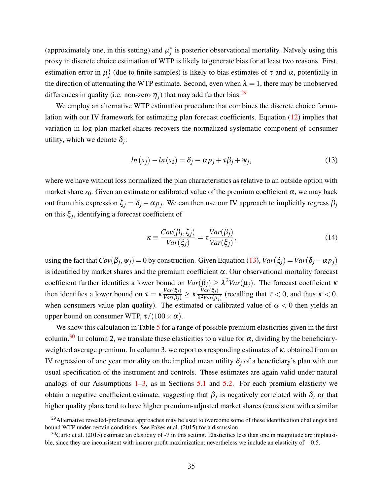(approximately one, in this setting) and  $\mu_j^*$  is posterior observational mortality. Naïvely using this proxy in discrete choice estimation of WTP is likely to generate bias for at least two reasons. First, estimation error in  $\mu_j^*$  (due to finite samples) is likely to bias estimates of  $\tau$  and  $\alpha$ , potentially in the direction of attenuating the WTP estimate. Second, even when  $\lambda = 1$ , there may be unobserved differences in quality (i.e. non-zero  $\eta_i$ ) that may add further bias.<sup>[29](#page-35-0)</sup>

We employ an alternative WTP estimation procedure that combines the discrete choice formulation with our IV framework for estimating plan forecast coefficients. Equation [\(12\)](#page-34-2) implies that variation in log plan market shares recovers the normalized systematic component of consumer utility, which we denote  $\delta_j$ :

<span id="page-35-1"></span>
$$
ln (s_j) - ln (s_0) = \delta_j \equiv \alpha p_j + \tau \beta_j + \psi_j,
$$
\n(13)

where we have without loss normalized the plan characteristics as relative to an outside option with market share  $s_0$ . Given an estimate or calibrated value of the premium coefficient  $\alpha$ , we may back out from this expression  $\xi_j = \delta_j - \alpha p_j$ . We can then use our IV approach to implicitly regress  $\beta_j$ on this ξ*<sup>j</sup>* , identifying a forecast coefficient of

$$
\kappa \equiv \frac{Cov(\beta_j, \xi_j)}{Var(\xi_j)} = \tau \frac{Var(\beta_j)}{Var(\xi_j)},
$$
(14)

using the fact that  $Cov(\beta_j, \psi_j) = 0$  by construction. Given Equation [\(13\)](#page-35-1),  $Var(\xi_j) = Var(\delta_j - \alpha p_j)$ is identified by market shares and the premium coefficient  $\alpha$ . Our observational mortality forecast coefficient further identifies a lower bound on *Var*(β*j*) ≥ λ <sup>2</sup>*Var*(µ*j*). The forecast coefficient κ then identifies a lower bound on  $\tau = \kappa \frac{Var(\xi_j)}{Var(\beta_j)} \ge \kappa \frac{Var(\xi_j)}{\lambda^2 Var(\mu)}$  $\frac{var(\varsigma_j)}{\lambda^2Var(\mu_j)}$  (recalling that  $\tau < 0$ , and thus  $\kappa < 0$ , when consumers value plan quality). The estimated or calibrated value of  $\alpha < 0$  then yields an upper bound on consumer WTP,  $\tau/(100 \times \alpha)$ .

We show this calculation in Table [5](#page-36-0) for a range of possible premium elasticities given in the first column.<sup>[30](#page-35-2)</sup> In column 2, we translate these elasticities to a value for  $\alpha$ , dividing by the beneficiaryweighted average premium. In column 3, we report corresponding estimates of  $\kappa$ , obtained from an IV regression of one year mortality on the implied mean utility  $\delta_i$  of a beneficiary's plan with our usual specification of the instrument and controls. These estimates are again valid under natural analogs of our Assumptions  $1-3$  $1-3$ , as in Sections [5.1](#page-30-2) and [5.2.](#page-33-3) For each premium elasticity we obtain a negative coefficient estimate, suggesting that  $\beta_j$  is negatively correlated with  $\delta_j$  or that higher quality plans tend to have higher premium-adjusted market shares (consistent with a similar

<span id="page-35-0"></span><sup>&</sup>lt;sup>29</sup>Alternative revealed-preference approaches may be used to overcome some of these identification challenges and bound WTP under certain conditions. See [Pakes et al.](#page-45-11) [\(2015\)](#page-45-11) for a discussion.

<span id="page-35-2"></span> $30$ [Curto et al.](#page-43-12) [\(2015\)](#page-43-12) estimate an elasticity of -7 in this setting. Elasticities less than one in magnitude are implausible, since they are inconsistent with insurer profit maximization; nevertheless we include an elasticity of −0.5.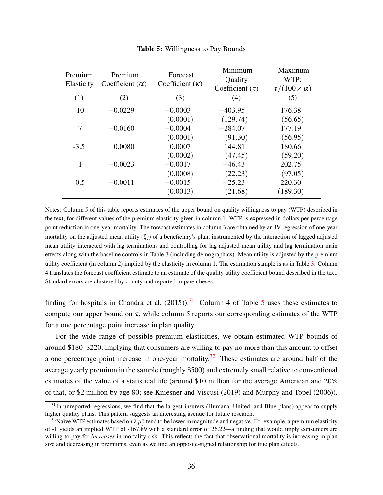<span id="page-36-0"></span>

| Premium<br>Elasticity | Premium<br>Coefficient $(\alpha)$ | <b>Forecast</b><br>Coefficient $(\kappa)$ | Minimum<br>Quality<br>Coefficient $(\tau)$ | Maximum<br>WTP:<br>$\tau/(100 \times \alpha)$ |
|-----------------------|-----------------------------------|-------------------------------------------|--------------------------------------------|-----------------------------------------------|
| (1)                   | (2)                               | (3)                                       | (4)                                        | (5)                                           |
| $-10$                 | $-0.0229$                         | $-0.0003$                                 | $-403.95$                                  | 176.38                                        |
|                       |                                   | (0.0001)                                  | (129.74)                                   | (56.65)                                       |
| $-7$                  | $-0.0160$                         | $-0.0004$                                 | $-284.07$                                  | 177.19                                        |
|                       |                                   | (0.0001)                                  | (91.30)                                    | (56.95)                                       |
| $-3.5$                | $-0.0080$                         | $-0.0007$                                 | $-144.81$                                  | 180.66                                        |
|                       |                                   | (0.0002)                                  | (47.45)                                    | (59.20)                                       |
| $-1$                  | $-0.0023$                         | $-0.0017$                                 | $-46.43$                                   | 202.75                                        |
|                       |                                   | (0.0008)                                  | (22.23)                                    | (97.05)                                       |
| $-0.5$                | $-0.0011$                         | $-0.0015$                                 | $-25.23$                                   | 220.30                                        |
|                       |                                   | (0.0013)                                  | (21.68)                                    | (189.30)                                      |

Table 5: Willingness to Pay Bounds

Notes: Column 5 of this table reports estimates of the upper bound on quality willingness to pay (WTP) described in the text, for different values of the premium elasticity given in column 1. WTP is expressed in dollars per percentage point reduction in one-year mortality. The forecast estimates in column 3 are obtained by an IV regression of one-year mortality on the adjusted mean utility  $(\xi_i)$  of a beneficiary's plan, instrumented by the interaction of lagged adjusted mean utility interacted with lag terminations and controlling for lag adjusted mean utility and lag termination main effects along with the baseline controls in Table  $3$  (including demographics). Mean utility is adjusted by the premium utility coefficient (in column 2) implied by the elasticity in column 1. The estimation sample is as in Table [3.](#page-27-0) Column 4 translates the forecast coefficient estimate to an estimate of the quality utility coefficient bound described in the text. Standard errors are clustered by county and reported in parentheses.

finding for hospitals in [Chandra et al.](#page-42-10) [\(2015\)](#page-42-10)).<sup>[31](#page-36-1)</sup> Column 4 of Table [5](#page-36-0) uses these estimates to compute our upper bound on  $\tau$ , while column 5 reports our corresponding estimates of the WTP for a one percentage point increase in plan quality.

For the wide range of possible premium elasticities, we obtain estimated WTP bounds of around \$180–\$220, implying that consumers are willing to pay no more than this amount to offset a one percentage point increase in one-year mortality.<sup>[32](#page-36-2)</sup> These estimates are around half of the average yearly premium in the sample (roughly \$500) and extremely small relative to conventional estimates of the value of a statistical life (around \$10 million for the average American and 20% of that, or \$2 million by age 80; see [Kniesner and Viscusi](#page-45-12) [\(2019\)](#page-45-12) and [Murphy and Topel](#page-45-13) [\(2006\)](#page-45-13)).

<span id="page-36-1"></span> $31$ In unreported regressions, we find that the largest insurers (Humana, United, and Blue plans) appear to supply higher quality plans. This pattern suggests an interesting avenue for future research.

<span id="page-36-2"></span><sup>&</sup>lt;sup>32</sup>Naïve WTP estimates based on  $\lambda \mu_j^*$  tend to be lower in magnitude and negative. For example, a premium elasticity of -1 yields an implied WTP of -167.89 with a standard error of 26.22—a finding that would imply consumers are willing to pay for *increases* in mortality risk. This reflects the fact that observational mortality is increasing in plan size and decreasing in premiums, even as we find an opposite-signed relationship for true plan effects.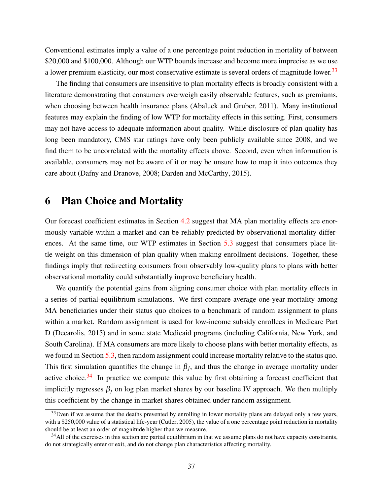Conventional estimates imply a value of a one percentage point reduction in mortality of between \$20,000 and \$100,000. Although our WTP bounds increase and become more imprecise as we use a lower premium elasticity, our most conservative estimate is several orders of magnitude lower.<sup>[33](#page-37-1)</sup>

The finding that consumers are insensitive to plan mortality effects is broadly consistent with a literature demonstrating that consumers overweigh easily observable features, such as premiums, when choosing between health insurance plans [\(Abaluck and Gruber, 2011\)](#page-42-3). Many institutional features may explain the finding of low WTP for mortality effects in this setting. First, consumers may not have access to adequate information about quality. While disclosure of plan quality has long been mandatory, CMS star ratings have only been publicly available since 2008, and we find them to be uncorrelated with the mortality effects above. Second, even when information is available, consumers may not be aware of it or may be unsure how to map it into outcomes they care about [\(Dafny and Dranove, 2008;](#page-43-13) [Darden and McCarthy, 2015\)](#page-43-6).

# <span id="page-37-0"></span>6 Plan Choice and Mortality

Our forecast coefficient estimates in Section [4.2](#page-26-1) suggest that MA plan mortality effects are enormously variable within a market and can be reliably predicted by observational mortality differences. At the same time, our WTP estimates in Section [5.3](#page-34-0) suggest that consumers place little weight on this dimension of plan quality when making enrollment decisions. Together, these findings imply that redirecting consumers from observably low-quality plans to plans with better observational mortality could substantially improve beneficiary health.

We quantify the potential gains from aligning consumer choice with plan mortality effects in a series of partial-equilibrium simulations. We first compare average one-year mortality among MA beneficiaries under their status quo choices to a benchmark of random assignment to plans within a market. Random assignment is used for low-income subsidy enrollees in Medicare Part D [\(Decarolis, 2015\)](#page-43-14) and in some state Medicaid programs (including California, New York, and South Carolina). If MA consumers are more likely to choose plans with better mortality effects, as we found in Section [5.3,](#page-34-0) then random assignment could increase mortality relative to the status quo. This first simulation quantifies the change in  $\beta_j$ , and thus the change in average mortality under active choice. $34$  In practice we compute this value by first obtaining a forecast coefficient that implicitly regresses  $\beta_j$  on log plan market shares by our baseline IV approach. We then multiply this coefficient by the change in market shares obtained under random assignment.

<span id="page-37-1"></span> $33$  Even if we assume that the deaths prevented by enrolling in lower mortality plans are delayed only a few years, with a \$250,000 value of a statistical life-year [\(Cutler, 2005\)](#page-43-15), the value of a one percentage point reduction in mortality should be at least an order of magnitude higher than we measure.

<span id="page-37-2"></span><sup>&</sup>lt;sup>34</sup>All of the exercises in this section are partial equilibrium in that we assume plans do not have capacity constraints, do not strategically enter or exit, and do not change plan characteristics affecting mortality.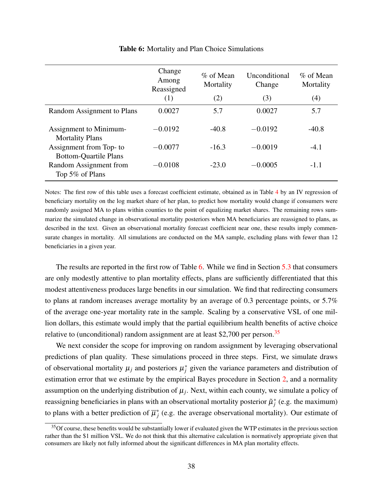<span id="page-38-0"></span>

|                                                        | Change<br>Among<br>Reassigned<br>(1) | $%$ of Mean<br>Mortality<br>(2) | Unconditional<br>Change<br>(3) | $\%$ of Mean<br>Mortality<br>(4) |
|--------------------------------------------------------|--------------------------------------|---------------------------------|--------------------------------|----------------------------------|
|                                                        |                                      |                                 |                                |                                  |
| Random Assignment to Plans                             | 0.0027                               | 5.7                             | 0.0027                         | 5.7                              |
| Assignment to Minimum-<br><b>Mortality Plans</b>       | $-0.0192$                            | $-40.8$                         | $-0.0192$                      | $-40.8$                          |
| Assignment from Top- to                                | $-0.0077$                            | $-16.3$                         | $-0.0019$                      | $-4.1$                           |
| <b>Bottom-Quartile Plans</b><br>Random Assignment from | $-0.0108$                            | $-23.0$                         | $-0.0005$                      | $-1.1$                           |
| Top 5% of Plans                                        |                                      |                                 |                                |                                  |

#### Table 6: Mortality and Plan Choice Simulations

Notes: The first row of this table uses a forecast coefficient estimate, obtained as in Table [4](#page-31-0) by an IV regression of beneficiary mortality on the log market share of her plan, to predict how mortality would change if consumers were randomly assigned MA to plans within counties to the point of equalizing market shares. The remaining rows summarize the simulated change in observational mortality posteriors when MA beneficiaries are reassigned to plans, as described in the text. Given an observational mortality forecast coefficient near one, these results imply commensurate changes in mortality. All simulations are conducted on the MA sample, excluding plans with fewer than 12 beneficiaries in a given year.

The results are reported in the first row of Table [6.](#page-38-0) While we find in Section [5.3](#page-34-0) that consumers are only modestly attentive to plan mortality effects, plans are sufficiently differentiated that this modest attentiveness produces large benefits in our simulation. We find that redirecting consumers to plans at random increases average mortality by an average of 0.3 percentage points, or 5.7% of the average one-year mortality rate in the sample. Scaling by a conservative VSL of one million dollars, this estimate would imply that the partial equilibrium health benefits of active choice relative to (unconditional) random assignment are at least \$2,700 per person.<sup>[35](#page-38-1)</sup>

We next consider the scope for improving on random assignment by leveraging observational predictions of plan quality. These simulations proceed in three steps. First, we simulate draws of observational mortality  $\mu_j$  and posteriors  $\mu_j^*$  given the variance parameters and distribution of estimation error that we estimate by the empirical Bayes procedure in Section [2,](#page-6-0) and a normality assumption on the underlying distribution of  $\mu_j$ . Next, within each county, we simulate a policy of reassigning beneficiaries in plans with an observational mortality posterior  $\tilde{\mu}^*_j$  (e.g. the maximum) to plans with a better prediction of  $\overline{\mu}_i^*$ *j* (e.g. the average observational mortality). Our estimate of

<span id="page-38-1"></span><sup>&</sup>lt;sup>35</sup>Of course, these benefits would be substantially lower if evaluated given the WTP estimates in the previous section rather than the \$1 million VSL. We do not think that this alternative calculation is normatively appropriate given that consumers are likely not fully informed about the significant differences in MA plan mortality effects.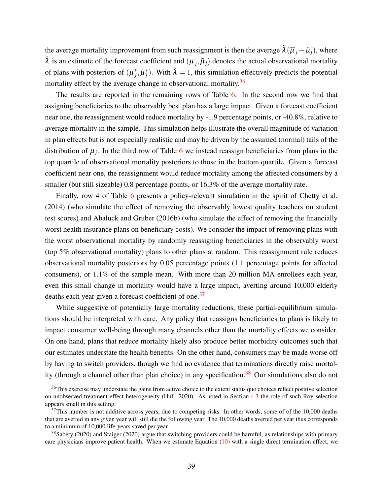the average mortality improvement from such reassignment is then the average  $\hat{\lambda}(\overline{\mu}_i - \tilde{\mu}_i)$ , where  $\hat{\lambda}$  is an estimate of the forecast coefficient and  $(\overline{\mu}_j, \tilde{\mu}_j)$  denotes the actual observational mortality of plans with posteriors of  $(\overline{\mu}_i^*)$  $\hat{a}_{j}$ ,  $\tilde{\mu}_{j}^{*}$ ). With  $\hat{\lambda} = 1$ , this simulation effectively predicts the potential mortality effect by the average change in observational mortality.<sup>[36](#page-39-0)</sup>

The results are reported in the remaining rows of Table [6.](#page-38-0) In the second row we find that assigning beneficiaries to the observably best plan has a large impact. Given a forecast coefficient near one, the reassignment would reduce mortality by -1.9 percentage points, or -40.8%, relative to average mortality in the sample. This simulation helps illustrate the overall magnitude of variation in plan effects but is not especially realistic and may be driven by the assumed (normal) tails of the distribution of  $\mu_j$ . In the third row of Table [6](#page-38-0) we instead reassign beneficiaries from plans in the top quartile of observational mortality posteriors to those in the bottom quartile. Given a forecast coefficient near one, the reassignment would reduce mortality among the affected consumers by a smaller (but still sizeable) 0.8 percentage points, or  $16.3\%$  of the average mortality rate.

Finally, row 4 of Table [6](#page-38-0) presents a policy-relevant simulation in the spirit of [Chetty et al.](#page-43-0) [\(2014\)](#page-43-0) (who simulate the effect of removing the observably lowest quality teachers on student test scores) and [Abaluck and Gruber](#page-42-11) [\(2016b\)](#page-42-11) (who simulate the effect of removing the financially worst health insurance plans on beneficiary costs). We consider the impact of removing plans with the worst observational mortality by randomly reassigning beneficiaries in the observably worst (top 5% observational mortality) plans to other plans at random. This reassignment rule reduces observational mortality posteriors by 0.05 percentage points (1.1 percentage points for affected consumers), or 1.1% of the sample mean. With more than 20 million MA enrollees each year, even this small change in mortality would have a large impact, averting around 10,000 elderly deaths each year given a forecast coefficient of one.<sup>[37](#page-39-1)</sup>

While suggestive of potentially large mortality reductions, these partial-equilibrium simulations should be interpreted with care. Any policy that reassigns beneficiaries to plans is likely to impact consumer well-being through many channels other than the mortality effects we consider. On one hand, plans that reduce mortality likely also produce better morbidity outcomes such that our estimates understate the health benefits. On the other hand, consumers may be made worse off by having to switch providers, though we find no evidence that terminations directly raise mortal-ity (through a channel other than plan choice) in any specification.<sup>[38](#page-39-2)</sup> Our simulations also do not

<span id="page-39-0"></span> $36$ This exercise may understate the gains from active choice to the extent status quo choices reflect positive selection on unobserved treatment effect heterogeneity [\(Hull, 2020\)](#page-44-1). As noted in Section [4.3](#page-27-1) the role of such Roy selection appears small in this setting.

<span id="page-39-1"></span> $37$ This number is not additive across years, due to competing risks. In other words, some of of the 10,000 deaths that are averted in any given year will still die the following year. The 10,000 deaths averted per year thus corresponds to a minimum of 10,000 life-years saved per year.

<span id="page-39-2"></span> $38$ [Sabety](#page-45-14) [\(2020\)](#page-45-15) and [Staiger](#page-45-15) (2020) argue that switching providers could be harmful, as relationships with primary care physicians improve patient health. When we estimate Equation  $(10)$  with a single direct termination effect, we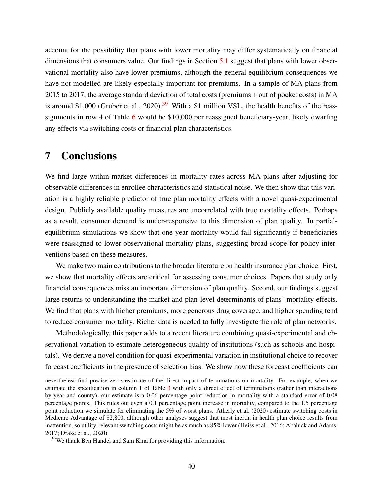account for the possibility that plans with lower mortality may differ systematically on financial dimensions that consumers value. Our findings in Section [5.1](#page-30-2) suggest that plans with lower observational mortality also have lower premiums, although the general equilibrium consequences we have not modelled are likely especially important for premiums. In a sample of MA plans from 2015 to 2017, the average standard deviation of total costs (premiums + out of pocket costs) in MA is around \$1,000 [\(Gruber et al., 2020\)](#page-44-14).<sup>[39](#page-40-1)</sup> With a \$1 million VSL, the health benefits of the reassignments in row 4 of Table [6](#page-38-0) would be \$10,000 per reassigned beneficiary-year, likely dwarfing any effects via switching costs or financial plan characteristics.

# <span id="page-40-0"></span>7 Conclusions

We find large within-market differences in mortality rates across MA plans after adjusting for observable differences in enrollee characteristics and statistical noise. We then show that this variation is a highly reliable predictor of true plan mortality effects with a novel quasi-experimental design. Publicly available quality measures are uncorrelated with true mortality effects. Perhaps as a result, consumer demand is under-responsive to this dimension of plan quality. In partialequilibrium simulations we show that one-year mortality would fall significantly if beneficiaries were reassigned to lower observational mortality plans, suggesting broad scope for policy interventions based on these measures.

We make two main contributions to the broader literature on health insurance plan choice. First, we show that mortality effects are critical for assessing consumer choices. Papers that study only financial consequences miss an important dimension of plan quality. Second, our findings suggest large returns to understanding the market and plan-level determinants of plans' mortality effects. We find that plans with higher premiums, more generous drug coverage, and higher spending tend to reduce consumer mortality. Richer data is needed to fully investigate the role of plan networks.

Methodologically, this paper adds to a recent literature combining quasi-experimental and observational variation to estimate heterogeneous quality of institutions (such as schools and hospitals). We derive a novel condition for quasi-experimental variation in institutional choice to recover forecast coefficients in the presence of selection bias. We show how these forecast coefficients can

nevertheless find precise zeros estimate of the direct impact of terminations on mortality. For example, when we estimate the specification in column 1 of Table [3](#page-27-0) with only a direct effect of terminations (rather than interactions by year and county), our estimate is a 0.06 percentage point reduction in mortality with a standard error of 0.08 percentage points. This rules out even a 0.1 percentage point increase in mortality, compared to the 1.5 percentage point reduction we simulate for eliminating the 5% of worst plans. [Atherly et al.](#page-42-12) [\(2020\)](#page-42-12) estimate switching costs in Medicare Advantage of \$2,800, although other analyses suggest that most inertia in health plan choice results from inattention, so utility-relevant switching costs might be as much as 85% lower [\(Heiss et al., 2016;](#page-44-15) [Abaluck and Adams,](#page-42-13) [2017;](#page-42-13) [Drake et al., 2020\)](#page-43-16).

<span id="page-40-1"></span><sup>39</sup>We thank Ben Handel and Sam Kina for providing this information.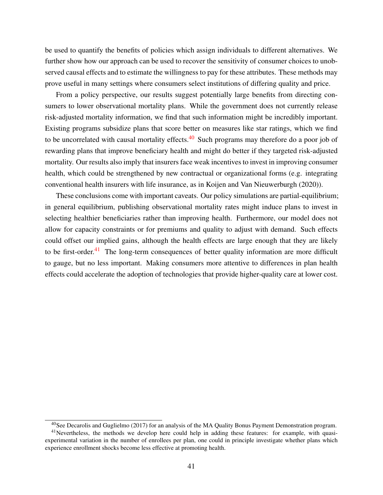be used to quantify the benefits of policies which assign individuals to different alternatives. We further show how our approach can be used to recover the sensitivity of consumer choices to unobserved causal effects and to estimate the willingness to pay for these attributes. These methods may prove useful in many settings where consumers select institutions of differing quality and price.

From a policy perspective, our results suggest potentially large benefits from directing consumers to lower observational mortality plans. While the government does not currently release risk-adjusted mortality information, we find that such information might be incredibly important. Existing programs subsidize plans that score better on measures like star ratings, which we find to be uncorrelated with causal mortality effects.<sup>[40](#page-41-0)</sup> Such programs may therefore do a poor job of rewarding plans that improve beneficiary health and might do better if they targeted risk-adjusted mortality. Our results also imply that insurers face weak incentives to invest in improving consumer health, which could be strengthened by new contractual or organizational forms (e.g. integrating conventional health insurers with life insurance, as in [Koijen and Van Nieuwerburgh](#page-45-16) [\(2020\)](#page-45-16)).

These conclusions come with important caveats. Our policy simulations are partial-equilibrium; in general equilibrium, publishing observational mortality rates might induce plans to invest in selecting healthier beneficiaries rather than improving health. Furthermore, our model does not allow for capacity constraints or for premiums and quality to adjust with demand. Such effects could offset our implied gains, although the health effects are large enough that they are likely to be first-order. $41$  The long-term consequences of better quality information are more difficult to gauge, but no less important. Making consumers more attentive to differences in plan health effects could accelerate the adoption of technologies that provide higher-quality care at lower cost.

<span id="page-41-1"></span><span id="page-41-0"></span> $^{40}$ See [Decarolis and Guglielmo](#page-43-7) [\(2017\)](#page-43-7) for an analysis of the MA Quality Bonus Payment Demonstration program.

<sup>&</sup>lt;sup>41</sup>Nevertheless, the methods we develop here could help in adding these features: for example, with quasiexperimental variation in the number of enrollees per plan, one could in principle investigate whether plans which experience enrollment shocks become less effective at promoting health.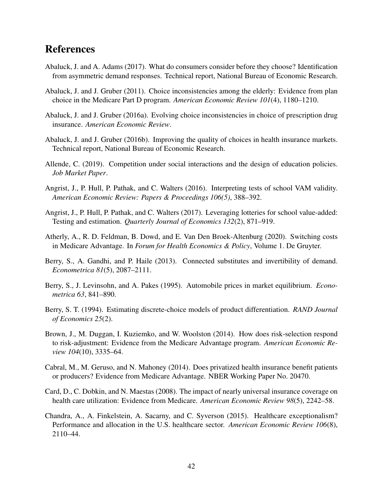# References

- <span id="page-42-13"></span>Abaluck, J. and A. Adams (2017). What do consumers consider before they choose? Identification from asymmetric demand responses. Technical report, National Bureau of Economic Research.
- <span id="page-42-3"></span>Abaluck, J. and J. Gruber (2011). Choice inconsistencies among the elderly: Evidence from plan choice in the Medicare Part D program. *American Economic Review 101*(4), 1180–1210.
- <span id="page-42-2"></span>Abaluck, J. and J. Gruber (2016a). Evolving choice inconsistencies in choice of prescription drug insurance. *American Economic Review*.
- <span id="page-42-11"></span>Abaluck, J. and J. Gruber (2016b). Improving the quality of choices in health insurance markets. Technical report, National Bureau of Economic Research.
- <span id="page-42-8"></span>Allende, C. (2019). Competition under social interactions and the design of education policies. *Job Market Paper*.
- <span id="page-42-4"></span>Angrist, J., P. Hull, P. Pathak, and C. Walters (2016). Interpreting tests of school VAM validity. *American Economic Review: Papers & Proceedings 106(5)*, 388–392.
- <span id="page-42-0"></span>Angrist, J., P. Hull, P. Pathak, and C. Walters (2017). Leveraging lotteries for school value-added: Testing and estimation. *Quarterly Journal of Economics 132*(2), 871–919.
- <span id="page-42-12"></span>Atherly, A., R. D. Feldman, B. Dowd, and E. Van Den Broek-Altenburg (2020). Switching costs in Medicare Advantage. In *Forum for Health Economics & Policy*, Volume 1. De Gruyter.
- <span id="page-42-14"></span>Berry, S., A. Gandhi, and P. Haile (2013). Connected substitutes and invertibility of demand. *Econometrica 81*(5), 2087–2111.
- <span id="page-42-7"></span>Berry, S., J. Levinsohn, and A. Pakes (1995). Automobile prices in market equilibrium. *Econometrica 63*, 841–890.
- <span id="page-42-9"></span>Berry, S. T. (1994). Estimating discrete-choice models of product differentiation. *RAND Journal of Economics 25*(2).
- <span id="page-42-5"></span>Brown, J., M. Duggan, I. Kuziemko, and W. Woolston (2014). How does risk-selection respond to risk-adjustment: Evidence from the Medicare Advantage program. *American Economic Review 104*(10), 3335–64.
- <span id="page-42-6"></span>Cabral, M., M. Geruso, and N. Mahoney (2014). Does privatized health insurance benefit patients or producers? Evidence from Medicare Advantage. NBER Working Paper No. 20470.
- <span id="page-42-1"></span>Card, D., C. Dobkin, and N. Maestas (2008). The impact of nearly universal insurance coverage on health care utilization: Evidence from Medicare. *American Economic Review 98*(5), 2242–58.
- <span id="page-42-10"></span>Chandra, A., A. Finkelstein, A. Sacarny, and C. Syverson (2015). Healthcare exceptionalism? Performance and allocation in the U.S. healthcare sector. *American Economic Review 106*(8), 2110–44.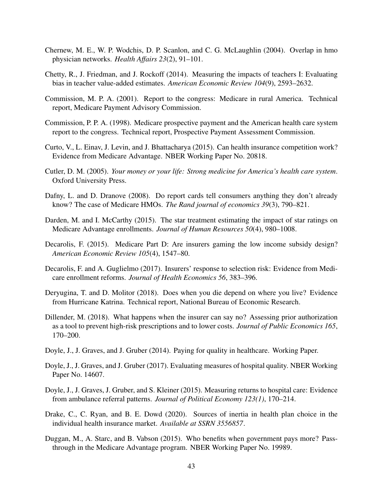- <span id="page-43-11"></span>Chernew, M. E., W. P. Wodchis, D. P. Scanlon, and C. G. McLaughlin (2004). Overlap in hmo physician networks. *Health Affairs 23*(2), 91–101.
- <span id="page-43-0"></span>Chetty, R., J. Friedman, and J. Rockoff (2014). Measuring the impacts of teachers I: Evaluating bias in teacher value-added estimates. *American Economic Review 104*(9), 2593–2632.
- <span id="page-43-3"></span>Commission, M. P. A. (2001). Report to the congress: Medicare in rural America. Technical report, Medicare Payment Advisory Commission.
- <span id="page-43-4"></span>Commission, P. P. A. (1998). Medicare prospective payment and the American health care system report to the congress. Technical report, Prospective Payment Assessment Commission.
- <span id="page-43-12"></span>Curto, V., L. Einav, J. Levin, and J. Bhattacharya (2015). Can health insurance competition work? Evidence from Medicare Advantage. NBER Working Paper No. 20818.
- <span id="page-43-15"></span>Cutler, D. M. (2005). *Your money or your life: Strong medicine for America's health care system*. Oxford University Press.
- <span id="page-43-13"></span>Dafny, L. and D. Dranove (2008). Do report cards tell consumers anything they don't already know? The case of Medicare HMOs. *The Rand journal of economics 39*(3), 790–821.
- <span id="page-43-6"></span>Darden, M. and I. McCarthy (2015). The star treatment estimating the impact of star ratings on Medicare Advantage enrollments. *Journal of Human Resources 50*(4), 980–1008.
- <span id="page-43-14"></span>Decarolis, F. (2015). Medicare Part D: Are insurers gaming the low income subsidy design? *American Economic Review 105*(4), 1547–80.
- <span id="page-43-7"></span>Decarolis, F. and A. Guglielmo (2017). Insurers' response to selection risk: Evidence from Medicare enrollment reforms. *Journal of Health Economics 56*, 383–396.
- <span id="page-43-5"></span>Deryugina, T. and D. Molitor (2018). Does when you die depend on where you live? Evidence from Hurricane Katrina. Technical report, National Bureau of Economic Research.
- <span id="page-43-8"></span>Dillender, M. (2018). What happens when the insurer can say no? Assessing prior authorization as a tool to prevent high-risk prescriptions and to lower costs. *Journal of Public Economics 165*, 170–200.
- <span id="page-43-9"></span>Doyle, J., J. Graves, and J. Gruber (2014). Paying for quality in healthcare. Working Paper.
- <span id="page-43-1"></span>Doyle, J., J. Graves, and J. Gruber (2017). Evaluating measures of hospital quality. NBER Working Paper No. 14607.
- <span id="page-43-10"></span>Doyle, J., J. Graves, J. Gruber, and S. Kleiner (2015). Measuring returns to hospital care: Evidence from ambulance referral patterns. *Journal of Political Economy 123(1)*, 170–214.
- <span id="page-43-16"></span>Drake, C., C. Ryan, and B. E. Dowd (2020). Sources of inertia in health plan choice in the individual health insurance market. *Available at SSRN 3556857*.
- <span id="page-43-2"></span>Duggan, M., A. Starc, and B. Vabson (2015). Who benefits when government pays more? Passthrough in the Medicare Advantage program. NBER Working Paper No. 19989.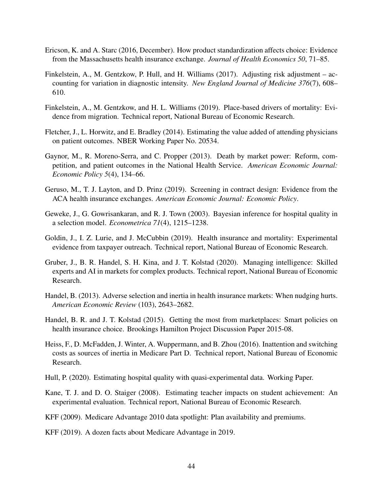- <span id="page-44-3"></span>Ericson, K. and A. Starc (2016, December). How product standardization affects choice: Evidence from the Massachusetts health insurance exchange. *Journal of Health Economics 50*, 71–85.
- <span id="page-44-8"></span>Finkelstein, A., M. Gentzkow, P. Hull, and H. Williams (2017). Adjusting risk adjustment – accounting for variation in diagnostic intensity. *New England Journal of Medicine 376*(7), 608– 610.
- <span id="page-44-13"></span>Finkelstein, A., M. Gentzkow, and H. L. Williams (2019). Place-based drivers of mortality: Evidence from migration. Technical report, National Bureau of Economic Research.
- <span id="page-44-6"></span>Fletcher, J., L. Horwitz, and E. Bradley (2014). Estimating the value added of attending physicians on patient outcomes. NBER Working Paper No. 20534.
- <span id="page-44-10"></span>Gaynor, M., R. Moreno-Serra, and C. Propper (2013). Death by market power: Reform, competition, and patient outcomes in the National Health Service. *American Economic Journal: Economic Policy 5*(4), 134–66.
- <span id="page-44-9"></span>Geruso, M., T. J. Layton, and D. Prinz (2019). Screening in contract design: Evidence from the ACA health insurance exchanges. *American Economic Journal: Economic Policy*.
- <span id="page-44-12"></span>Geweke, J., G. Gowrisankaran, and R. J. Town (2003). Bayesian inference for hospital quality in a selection model. *Econometrica 71*(4), 1215–1238.
- <span id="page-44-2"></span>Goldin, J., I. Z. Lurie, and J. McCubbin (2019). Health insurance and mortality: Experimental evidence from taxpayer outreach. Technical report, National Bureau of Economic Research.
- <span id="page-44-14"></span>Gruber, J., B. R. Handel, S. H. Kina, and J. T. Kolstad (2020). Managing intelligence: Skilled experts and AI in markets for complex products. Technical report, National Bureau of Economic Research.
- <span id="page-44-4"></span>Handel, B. (2013). Adverse selection and inertia in health insurance markets: When nudging hurts. *American Economic Review* (103), 2643–2682.
- <span id="page-44-5"></span>Handel, B. R. and J. T. Kolstad (2015). Getting the most from marketplaces: Smart policies on health insurance choice. Brookings Hamilton Project Discussion Paper 2015-08.
- <span id="page-44-15"></span>Heiss, F., D. McFadden, J. Winter, A. Wuppermann, and B. Zhou (2016). Inattention and switching costs as sources of inertia in Medicare Part D. Technical report, National Bureau of Economic Research.
- <span id="page-44-1"></span>Hull, P. (2020). Estimating hospital quality with quasi-experimental data. Working Paper.
- <span id="page-44-7"></span>Kane, T. J. and D. O. Staiger (2008). Estimating teacher impacts on student achievement: An experimental evaluation. Technical report, National Bureau of Economic Research.
- <span id="page-44-11"></span>KFF (2009). Medicare Advantage 2010 data spotlight: Plan availability and premiums.
- <span id="page-44-0"></span>KFF (2019). A dozen facts about Medicare Advantage in 2019.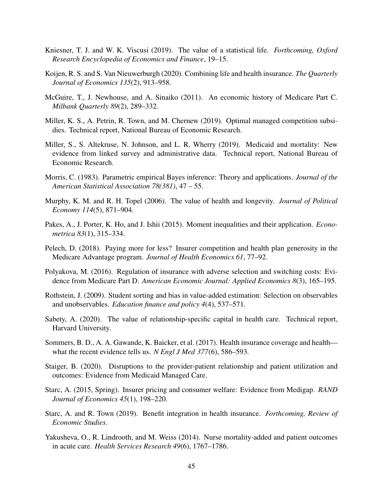- <span id="page-45-12"></span>Kniesner, T. J. and W. K. Viscusi (2019). The value of a statistical life. *Forthcoming, Oxford Research Encyclopedia of Economics and Finance*, 19–15.
- <span id="page-45-16"></span>Koijen, R. S. and S. Van Nieuwerburgh (2020). Combining life and health insurance. *The Quarterly Journal of Economics 135*(2), 913–958.
- <span id="page-45-4"></span>McGuire, T., J. Newhouse, and A. Sinaiko (2011). An economic history of Medicare Part C. *Milbank Quarterly 89*(2), 289–332.
- <span id="page-45-2"></span>Miller, K. S., A. Petrin, R. Town, and M. Chernew (2019). Optimal managed competition subsidies. Technical report, National Bureau of Economic Research.
- <span id="page-45-0"></span>Miller, S., S. Altekruse, N. Johnson, and L. R. Wherry (2019). Medicaid and mortality: New evidence from linked survey and administrative data. Technical report, National Bureau of Economic Research.
- <span id="page-45-6"></span>Morris, C. (1983). Parametric empirical Bayes inference: Theory and applications. *Journal of the American Statistical Association 78(381)*, 47 – 55.
- <span id="page-45-13"></span>Murphy, K. M. and R. H. Topel (2006). The value of health and longevity. *Journal of Political Economy 114*(5), 871–904.
- <span id="page-45-11"></span>Pakes, A., J. Porter, K. Ho, and J. Ishii (2015). Moment inequalities and their application. *Econometrica 83*(1), 315–334.
- <span id="page-45-5"></span>Pelech, D. (2018). Paying more for less? Insurer competition and health plan generosity in the Medicare Advantage program. *Journal of Health Economics 61*, 77–92.
- <span id="page-45-10"></span>Polyakova, M. (2016). Regulation of insurance with adverse selection and switching costs: Evidence from Medicare Part D. *American Economic Journal: Applied Economics 8*(3), 165–195.
- <span id="page-45-7"></span>Rothstein, J. (2009). Student sorting and bias in value-added estimation: Selection on observables and unobservables. *Education finance and policy 4*(4), 537–571.
- <span id="page-45-14"></span>Sabety, A. (2020). The value of relationship-specific capital in health care. Technical report, Harvard University.
- <span id="page-45-8"></span>Sommers, B. D., A. A. Gawande, K. Baicker, et al. (2017). Health insurance coverage and health what the recent evidence tells us. *N Engl J Med 377*(6), 586–593.
- <span id="page-45-15"></span>Staiger, B. (2020). Disruptions to the provider-patient relationship and patient utilization and outcomes: Evidence from Medicaid Managed Care.
- <span id="page-45-9"></span>Starc, A. (2015, Spring). Insurer pricing and consumer welfare: Evidence from Medigap. *RAND Journal of Economics 45*(1), 198–220.
- <span id="page-45-1"></span>Starc, A. and R. Town (2019). Benefit integration in health insurance. *Forthcoming, Review of Economic Studies*.
- <span id="page-45-3"></span>Yakusheva, O., R. Lindrooth, and M. Weiss (2014). Nurse mortality-added and patient outcomes in acute care. *Health Services Research 49*(6), 1767–1786.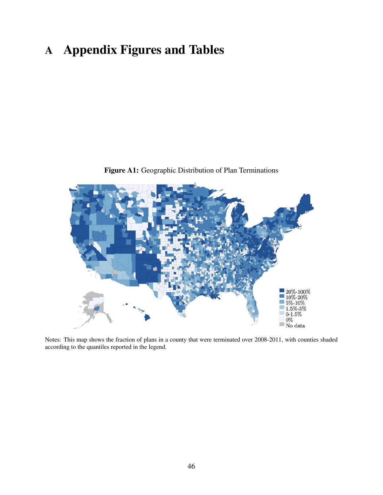# A Appendix Figures and Tables

<span id="page-46-0"></span>

Figure A1: Geographic Distribution of Plan Terminations

Notes: This map shows the fraction of plans in a county that were terminated over 2008-2011, with counties shaded according to the quantiles reported in the legend.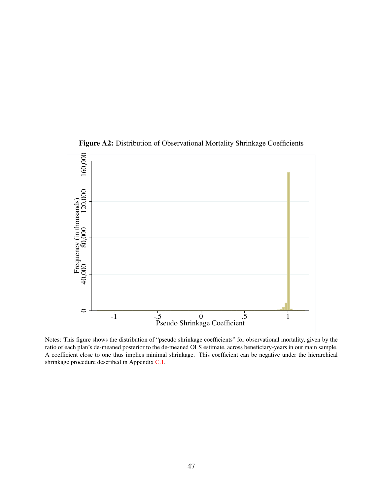<span id="page-47-0"></span>

Figure A2: Distribution of Observational Mortality Shrinkage Coefficients

Notes: This figure shows the distribution of "pseudo shrinkage coefficients" for observational mortality, given by the ratio of each plan's de-meaned posterior to the de-meaned OLS estimate, across beneficiary-years in our main sample. A coefficient close to one thus implies minimal shrinkage. This coefficient can be negative under the hierarchical shrinkage procedure described in Appendix [C.1.](#page-54-0)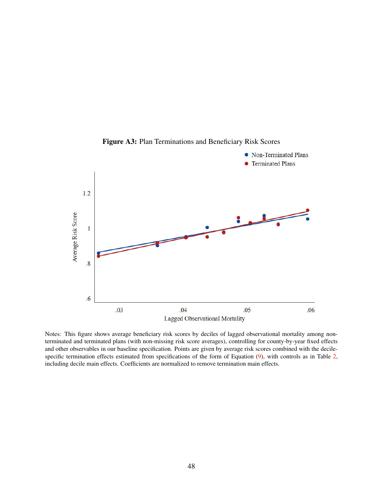<span id="page-48-0"></span>

Figure A3: Plan Terminations and Beneficiary Risk Scores

Notes: This figure shows average beneficiary risk scores by deciles of lagged observational mortality among nonterminated and terminated plans (with non-missing risk score averages), controlling for county-by-year fixed effects and other observables in our baseline specification. Points are given by average risk scores combined with the decilespecific termination effects estimated from specifications of the form of Equation [\(9\)](#page-22-3), with controls as in Table [2,](#page-23-0) including decile main effects. Coefficients are normalized to remove termination main effects.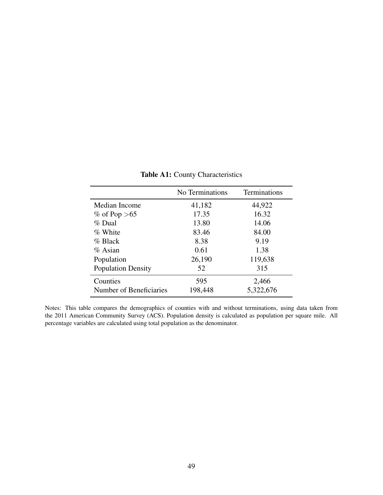<span id="page-49-0"></span>

|                           | No Terminations | Terminations |
|---------------------------|-----------------|--------------|
| Median Income             | 41,182          | 44,922       |
| % of Pop $>65$            | 17.35           | 16.32        |
| % Dual                    | 13.80           | 14.06        |
| % White                   | 83.46           | 84.00        |
| $%$ Black                 | 8.38            | 9.19         |
| $\%$ Asian                | 0.61            | 1.38         |
| Population                | 26,190          | 119,638      |
| <b>Population Density</b> | 52              | 315          |
| Counties                  | 595             | 2,466        |
| Number of Beneficiaries   | 198,448         | 5,322,676    |

Table A1: County Characteristics

Notes: This table compares the demographics of counties with and without terminations, using data taken from the 2011 American Community Survey (ACS). Population density is calculated as population per square mile. All percentage variables are calculated using total population as the denominator.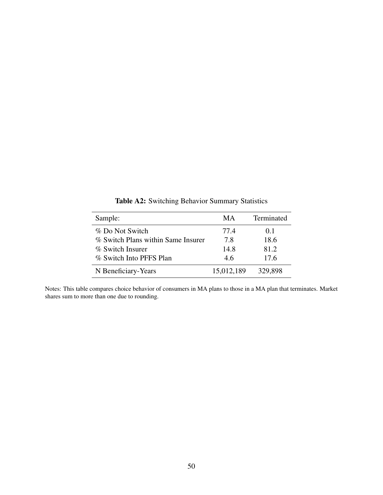<span id="page-50-0"></span>

| Sample:                            | MА         | Terminated |
|------------------------------------|------------|------------|
| % Do Not Switch                    | 77.4       | 0.1        |
| % Switch Plans within Same Insurer | 7.8        | 18.6       |
| % Switch Insurer                   | 14.8       | 81.2       |
| % Switch Into PFFS Plan            | 4.6        | 17.6       |
| N Beneficiary-Years                | 15,012,189 | 329,898    |

Table A2: Switching Behavior Summary Statistics

Notes: This table compares choice behavior of consumers in MA plans to those in a MA plan that terminates. Market shares sum to more than one due to rounding.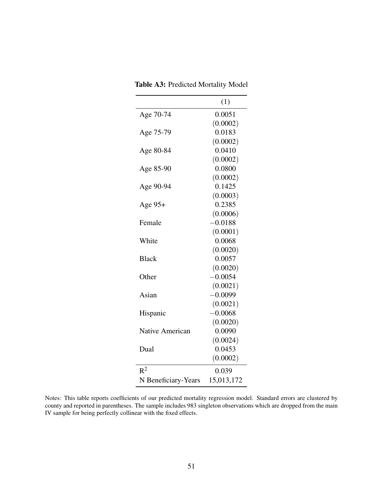<span id="page-51-0"></span>

| Table A3: Predicted Mortality Model |  |  |
|-------------------------------------|--|--|
|                                     |  |  |

|                        | (1)        |
|------------------------|------------|
| Age 70-74              | 0.0051     |
|                        | (0.0002)   |
| Age 75-79              | 0.0183     |
|                        | (0.0002)   |
| Age 80-84              | 0.0410     |
|                        | (0.0002)   |
| Age 85-90              | 0.0800     |
|                        | (0.0002)   |
| Age 90-94              | 0.1425     |
|                        | (0.0003)   |
| Age 95+                | 0.2385     |
|                        | (0.0006)   |
| Female                 | $-0.0188$  |
|                        | (0.0001)   |
| White                  | 0.0068     |
|                        | (0.0020)   |
| <b>Black</b>           | 0.0057     |
|                        | (0.0020)   |
| Other                  | $-0.0054$  |
|                        | (0.0021)   |
| Asian                  | $-0.0099$  |
|                        | (0.0021)   |
| Hispanic               | $-0.0068$  |
|                        | (0.0020)   |
| <b>Native American</b> | 0.0090     |
|                        | (0.0024)   |
| Dual                   | 0.0453     |
|                        | (0.0002)   |
| $\mathbb{R}^2$         | 0.039      |
| N Beneficiary-Years    | 15,013,172 |

Notes: This table reports coefficients of our predicted mortality regression model. Standard errors are clustered by county and reported in parentheses. The sample includes 983 singleton observations which are dropped from the main IV sample for being perfectly collinear with the fixed effects.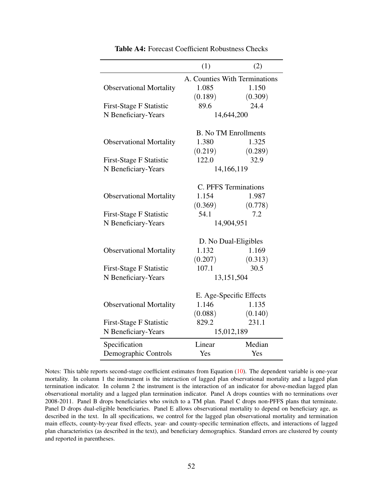<span id="page-52-0"></span>

|                                | (1)             | (2)                           |  |
|--------------------------------|-----------------|-------------------------------|--|
|                                |                 | A. Counties With Terminations |  |
| <b>Observational Mortality</b> | 1.085           | 1.150                         |  |
|                                | (0.189)         | (0.309)                       |  |
| <b>First-Stage F Statistic</b> | 89.6            | 24.4                          |  |
| N Beneficiary-Years            |                 | 14,644,200                    |  |
|                                |                 |                               |  |
|                                |                 | <b>B.</b> No TM Enrollments   |  |
| <b>Observational Mortality</b> | 1.380           | 1.325                         |  |
|                                | (0.219)         | (0.289)                       |  |
| <b>First-Stage F Statistic</b> | 122.0           | 32.9                          |  |
| N Beneficiary-Years            |                 | 14,166,119                    |  |
|                                |                 | C. PFFS Terminations          |  |
|                                | 1.154           | 1.987                         |  |
| <b>Observational Mortality</b> |                 |                               |  |
|                                | (0.369)<br>54.1 | (0.778)<br>7.2                |  |
| First-Stage F Statistic        |                 |                               |  |
| N Beneficiary-Years            |                 | 14,904,951                    |  |
|                                |                 | D. No Dual-Eligibles          |  |
| <b>Observational Mortality</b> | 1.132           | 1.169                         |  |
|                                | (0.207)         | (0.313)                       |  |
| <b>First-Stage F Statistic</b> | 107.1           | 30.5                          |  |
| N Beneficiary-Years            |                 | 13,151,504                    |  |
|                                |                 |                               |  |
|                                |                 | E. Age-Specific Effects       |  |
| <b>Observational Mortality</b> | 1.146           | 1.135                         |  |
|                                | (0.088)         | (0.140)                       |  |
| <b>First-Stage F Statistic</b> | 829.2           | 231.1                         |  |
| N Beneficiary-Years            | 15,012,189      |                               |  |
| Specification                  | Linear          | Median                        |  |
| Demographic Controls           | Yes             | Yes                           |  |

Table A4: Forecast Coefficient Robustness Checks

Notes: This table reports second-stage coefficient estimates from Equation [\(10\)](#page-26-0). The dependent variable is one-year mortality. In column 1 the instrument is the interaction of lagged plan observational mortality and a lagged plan termination indicator. In column 2 the instrument is the interaction of an indicator for above-median lagged plan observational mortality and a lagged plan termination indicator. Panel A drops counties with no terminations over 2008-2011. Panel B drops beneficiaries who switch to a TM plan. Panel C drops non-PFFS plans that terminate. Panel D drops dual-eligible beneficiaries. Panel E allows observational mortality to depend on beneficiary age, as described in the text. In all specifications, we control for the lagged plan observational mortality and termination main effects, county-by-year fixed effects, year- and county-specific termination effects, and interactions of lagged plan characteristics (as described in the text), and beneficiary demographics. Standard errors are clustered by county and reported in parentheses.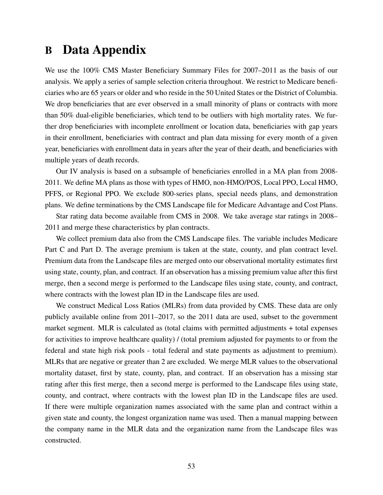# <span id="page-53-0"></span>B Data Appendix

We use the 100% CMS Master Beneficiary Summary Files for 2007–2011 as the basis of our analysis. We apply a series of sample selection criteria throughout. We restrict to Medicare beneficiaries who are 65 years or older and who reside in the 50 United States or the District of Columbia. We drop beneficiaries that are ever observed in a small minority of plans or contracts with more than 50% dual-eligible beneficiaries, which tend to be outliers with high mortality rates. We further drop beneficiaries with incomplete enrollment or location data, beneficiaries with gap years in their enrollment, beneficiaries with contract and plan data missing for every month of a given year, beneficiaries with enrollment data in years after the year of their death, and beneficiaries with multiple years of death records.

Our IV analysis is based on a subsample of beneficiaries enrolled in a MA plan from 2008- 2011. We define MA plans as those with types of HMO, non-HMO/POS, Local PPO, Local HMO, PFFS, or Regional PPO. We exclude 800-series plans, special needs plans, and demonstration plans. We define terminations by the CMS Landscape file for Medicare Advantage and Cost Plans.

Star rating data become available from CMS in 2008. We take average star ratings in 2008– 2011 and merge these characteristics by plan contracts.

We collect premium data also from the CMS Landscape files. The variable includes Medicare Part C and Part D. The average premium is taken at the state, county, and plan contract level. Premium data from the Landscape files are merged onto our observational mortality estimates first using state, county, plan, and contract. If an observation has a missing premium value after this first merge, then a second merge is performed to the Landscape files using state, county, and contract, where contracts with the lowest plan ID in the Landscape files are used.

We construct Medical Loss Ratios (MLRs) from data provided by CMS. These data are only publicly available online from 2011–2017, so the 2011 data are used, subset to the government market segment. MLR is calculated as (total claims with permitted adjustments + total expenses for activities to improve healthcare quality) / (total premium adjusted for payments to or from the federal and state high risk pools - total federal and state payments as adjustment to premium). MLRs that are negative or greater than 2 are excluded. We merge MLR values to the observational mortality dataset, first by state, county, plan, and contract. If an observation has a missing star rating after this first merge, then a second merge is performed to the Landscape files using state, county, and contract, where contracts with the lowest plan ID in the Landscape files are used. If there were multiple organization names associated with the same plan and contract within a given state and county, the longest organization name was used. Then a manual mapping between the company name in the MLR data and the organization name from the Landscape files was constructed.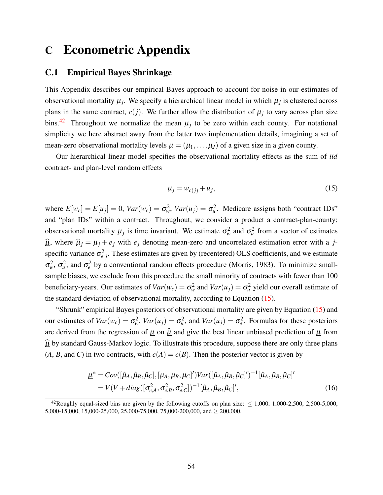# C Econometric Appendix

#### <span id="page-54-0"></span>C.1 Empirical Bayes Shrinkage

This Appendix describes our empirical Bayes approach to account for noise in our estimates of observational mortality  $\mu_j$ . We specify a hierarchical linear model in which  $\mu_j$  is clustered across plans in the same contract,  $c(j)$ . We further allow the distribution of  $\mu_j$  to vary across plan size bins.<sup>[42](#page-54-1)</sup> Throughout we normalize the mean  $\mu_j$  to be zero within each county. For notational simplicity we here abstract away from the latter two implementation details, imagining a set of mean-zero observational mortality levels  $\mu = (\mu_1, \dots, \mu_J)$  of a given size in a given county.

Our hierarchical linear model specifies the observational mortality effects as the sum of *iid* contract- and plan-level random effects

<span id="page-54-2"></span>
$$
\mu_j = w_{c(j)} + u_j,\tag{15}
$$

where  $E[w_c] = E[u_j] = 0$ ,  $Var(w_c) = \sigma_w^2$ ,  $Var(u_j) = \sigma_u^2$ . Medicare assigns both "contract IDs" and "plan IDs" within a contract. Throughout, we consider a product a contract-plan-county; observational mortality  $\mu_j$  is time invariant. We estimate  $\sigma_w^2$  and  $\sigma_u^2$  from a vector of estimates  $\hat{\mu}$ , where  $\hat{\mu}_j = \mu_j + e_j$  with  $e_j$  denoting mean-zero and uncorrelated estimation error with a *j*specific variance  $\sigma_{e,j}^2$ . These estimates are given by (recentered) OLS coefficients, and we estimate  $\sigma_w^2$ ,  $\sigma_u^2$ , and  $\sigma_e^2$  by a conventional random effects procedure [\(Morris, 1983\)](#page-45-6). To minimize smallsample biases, we exclude from this procedure the small minority of contracts with fewer than 100 beneficiary-years. Our estimates of  $Var(w_c) = \sigma_w^2$  and  $Var(u_j) = \sigma_u^2$  yield our overall estimate of the standard deviation of observational mortality, according to Equation [\(15\)](#page-54-2).

"Shrunk" empirical Bayes posteriors of observational mortality are given by Equation [\(15\)](#page-54-2) and our estimates of  $Var(w_c) = \sigma_w^2$ ,  $Var(u_j) = \sigma_u^2$ , and  $Var(u_j) = \sigma_e^2$ . Formulas for these posteriors are derived from the regression of  $\mu$  on  $\hat{\mu}$  and give the best linear unbiased prediction of  $\mu$  from  $\hat{\mu}$  by standard Gauss-Markov logic. To illustrate this procedure, suppose there are only three plans  $(A, B, \text{ and } C)$  in two contracts, with  $c(A) = c(B)$ . Then the posterior vector is given by

$$
\underline{\mu}^* = Cov([\hat{\mu}_A, \hat{\mu}_B, \hat{\mu}_C], [\mu_A, \mu_B, \mu_C]') Var([\hat{\mu}_A, \hat{\mu}_B, \hat{\mu}_C]')^{-1} [\hat{\mu}_A, \hat{\mu}_B, \hat{\mu}_C]'
$$
  
=  $V(V + diag([\sigma_{e,A}^2, \sigma_{e,B}^2, \sigma_{e,C}^2])^{-1} [\hat{\mu}_A, \hat{\mu}_B, \hat{\mu}_C]'$ , (16)

<span id="page-54-1"></span><sup>&</sup>lt;sup>42</sup>Roughly equal-sized bins are given by the following cutoffs on plan size:  $\leq$  1,000, 1,000-2,500, 2,500-5,000, 5,000-15,000, 15,000-25,000, 25,000-75,000, 75,000-200,000, and ≥ 200,000.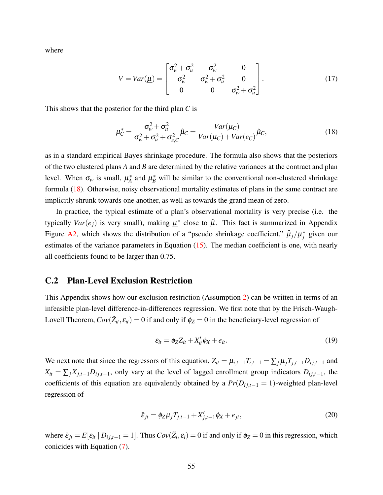where

$$
V = Var(\underline{\mu}) = \begin{bmatrix} \sigma_w^2 + \sigma_u^2 & \sigma_w^2 & 0\\ \sigma_w^2 & \sigma_w^2 + \sigma_u^2 & 0\\ 0 & 0 & \sigma_w^2 + \sigma_u^2 \end{bmatrix}.
$$
 (17)

This shows that the posterior for the third plan *C* is

<span id="page-55-1"></span>
$$
\mu_C^* = \frac{\sigma_w^2 + \sigma_u^2}{\sigma_w^2 + \sigma_u^2 + \sigma_{e,C}^2} \hat{\mu}_C = \frac{Var(\mu_C)}{Var(\mu_C) + Var(e_C)} \hat{\mu}_C,\tag{18}
$$

as in a standard empirical Bayes shrinkage procedure. The formula also shows that the posteriors of the two clustered plans *A* and *B* are determined by the relative variances at the contract and plan level. When  $\sigma_w$  is small,  $\mu_A^*$  $\mu_A^*$  and  $\mu_B^*$  will be similar to the conventional non-clustered shrinkage formula [\(18\)](#page-55-1). Otherwise, noisy observational mortality estimates of plans in the same contract are implicitly shrunk towards one another, as well as towards the grand mean of zero.

In practice, the typical estimate of a plan's observational mortality is very precise (i.e. the typically  $Var(e_j)$  is very small), making  $\underline{\mu}^*$  close to  $\widehat{\mu}$ . This fact is summarized in Appendix Figure [A2,](#page-47-0) which shows the distribution of a "pseudo shrinkage coefficient,"  $\hat{\mu}_j/\mu_j^*$  given our estimates of the variance parameters in Equation  $(15)$ . The median coefficient is one, with nearly all coefficients found to be larger than 0.75.

#### <span id="page-55-0"></span>C.2 Plan-Level Exclusion Restriction

This Appendix shows how our exclusion restriction (Assumption [2\)](#page-18-0) can be written in terms of an infeasible plan-level difference-in-differences regression. We first note that by the Frisch-Waugh-Lovell Theorem,  $Cov(\tilde{Z}_{it}, \varepsilon_{it}) = 0$  if and only if  $\phi_Z = 0$  in the beneficiary-level regression of

$$
\varepsilon_{it} = \phi_Z Z_{it} + X_{it}' \phi_X + e_{it}.
$$
\n(19)

We next note that since the regressors of this equation,  $Z_{it} = \mu_{i,t-1} T_{i,t-1} = \sum_j \mu_j T_{j,t-1} D_{ij,t-1}$  and  $X_{it} = \sum_j X_{j,t-1} D_{ij,t-1}$ , only vary at the level of lagged enrollment group indicators  $D_{ij,t-1}$ , the coefficients of this equation are equivalently obtained by a  $Pr(D_{ij,t-1} = 1)$ -weighted plan-level regression of

$$
\bar{\varepsilon}_{jt} = \phi_Z \mu_j T_{j,t-1} + X'_{j,t-1} \phi_X + e_{jt},
$$
\n(20)

where  $\bar{\varepsilon}_{jt} = E[\varepsilon_{it} | D_{ij,t-1} = 1]$ . Thus  $Cov(\tilde{Z}_i, \varepsilon_i) = 0$  if and only if  $\phi_Z = 0$  in this regression, which conicides with Equation [\(7\)](#page-18-2).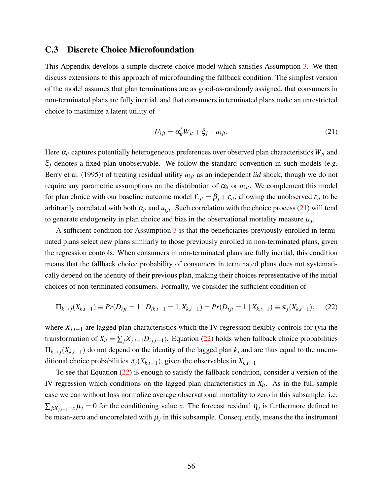#### <span id="page-56-0"></span>C.3 Discrete Choice Microfoundation

This Appendix develops a simple discrete choice model which satisfies Assumption [3.](#page-19-0) We then discuss extensions to this approach of microfounding the fallback condition. The simplest version of the model assumes that plan terminations are as good-as-randomly assigned, that consumers in non-terminated plans are fully inertial, and that consumers in terminated plans make an unrestricted choice to maximize a latent utility of

<span id="page-56-2"></span><span id="page-56-1"></span>
$$
U_{ijt} = \alpha'_{it} W_{jt} + \xi_j + u_{ijt}.
$$
\n(21)

Here  $\alpha_{it}$  captures potentially heterogeneous preferences over observed plan characteristics  $W_{jt}$  and  $\xi$ <sub>*j*</sub> denotes a fixed plan unobservable. We follow the standard convention in such models (e.g. [Berry et al.](#page-42-7) [\(1995\)](#page-42-7)) of treating residual utility  $u_{ijt}$  as an independent *iid* shock, though we do not require any parametric assumptions on the distribution of  $\alpha_{it}$  or  $u_{ijt}$ . We complement this model for plan choice with our baseline outcome model  $Y_{ijt} = \beta_j + \varepsilon_{it}$ , allowing the unobserved  $\varepsilon_{it}$  to be arbitrarily correlated with both  $\alpha_{it}$  and  $u_{ijt}$ . Such correlation with the choice process [\(21\)](#page-56-1) will tend to generate endogeneity in plan choice and bias in the observational mortality measure  $\mu_j$ .

A sufficient condition for Assumption  $3$  is that the beneficiaries previously enrolled in terminated plans select new plans similarly to those previously enrolled in non-terminated plans, given the regression controls. When consumers in non-terminated plans are fully inertial, this condition means that the fallback choice probability of consumers in terminated plans does not systematically depend on the identity of their previous plan, making their choices representative of the initial choices of non-terminated consumers. Formally, we consider the sufficient condition of

$$
\Pi_{k \to j}(X_{k,t-1}) \equiv Pr(D_{ijt} = 1 \mid D_{ik,t-1} = 1, X_{k,t-1}) = Pr(D_{ijt} = 1 \mid X_{k,t-1}) \equiv \pi_j(X_{k,t-1}), \tag{22}
$$

where *Xj*,*t*−<sup>1</sup> are lagged plan characteristics which the IV regression flexibly controls for (via the transformation of  $X_{it} = \sum_j X_{j,t-1} D_{ij,t-1}$ ). Equation [\(22\)](#page-56-2) holds when fallback choice probabilities  $\Pi_{k\to j}(X_{k,t-1})$  do not depend on the identity of the lagged plan *k*, and are thus equal to the unconditional choice probabilities  $\pi_j(X_{k,t-1})$ , given the observables in  $X_{k,t-1}$ .

To see that Equation [\(22\)](#page-56-2) is enough to satisfy the fallback condition, consider a version of the IV regression which conditions on the lagged plan characteristics in *Xit*. As in the full-sample case we can without loss normalize average observational mortality to zero in this subsample: i.e.  $\sum_{j:X_{j,t-1}=x}\mu_j=0$  for the conditioning value *x*. The forecast residual  $\eta_j$  is furthermore defined to be mean-zero and uncorrelated with  $\mu_j$  in this subsample. Consequently, means the the instrument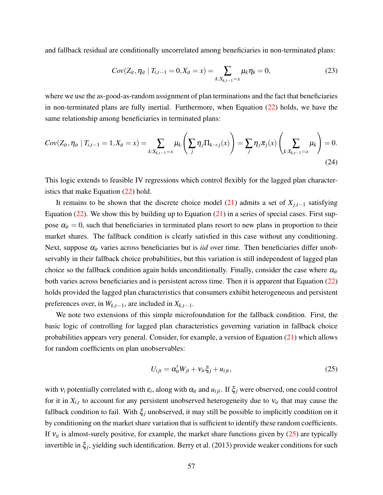and fallback residual are conditionally uncorrelated among beneficiaries in non-terminated plans:

$$
Cov(Z_{it}, \eta_{it} \mid T_{i,t-1} = 0, X_{it} = x) = \sum_{k:X_{k,t-1} = x} \mu_k \eta_k = 0,
$$
\n(23)

where we use the as-good-as-random assignment of plan terminations and the fact that beneficiaries in non-terminated plans are fully inertial. Furthermore, when Equation [\(22\)](#page-56-2) holds, we have the same relationship among beneficiaries in terminated plans:

$$
Cov(Z_{it}, \eta_{it} | T_{i,t-1} = 1, X_{it} = x) = \sum_{k:X_{k,t-1}=x} \mu_k \left( \sum_j \eta_j \Pi_{k \to j}(x) \right) = \sum_j \eta_j \pi_j(x) \left( \sum_{k:X_{k,t-1}=x} \mu_k \right) = 0.
$$
\n(24)

This logic extends to feasible IV regressions which control flexibly for the lagged plan characteristics that make Equation [\(22\)](#page-56-2) hold.

It remains to be shown that the discrete choice model [\(21\)](#page-56-1) admits a set of  $X_{i,t-1}$  satisfying Equation  $(22)$ . We show this by building up to Equation  $(21)$  in a series of special cases. First suppose  $\alpha_{it} = 0$ , such that beneficiaries in terminated plans resort to new plans in proportion to their market shares. The fallback condition is clearly satisfied in this case without any conditioning. Next, suppose  $\alpha_{it}$  varies across beneficiaries but is *iid* over time. Then beneficiaries differ unobservably in their fallback choice probabilities, but this variation is still independent of lagged plan choice so the fallback condition again holds unconditionally. Finally, consider the case where  $\alpha_{it}$ both varies across beneficiaries and is persistent across time. Then it is apparent that Equation [\(22\)](#page-56-2) holds provided the lagged plan characteristics that consumers exhibit heterogeneous and persistent preferences over, in  $W_{k,t-1}$ , are included in  $X_{k,t-1}$ .

We note two extensions of this simple microfoundation for the fallback condition. First, the basic logic of controlling for lagged plan characteristics governing variation in fallback choice probabilities appears very general. Consider, for example, a version of Equation [\(21\)](#page-56-1) which allows for random coefficients on plan unobservables:

<span id="page-57-0"></span>
$$
U_{ijt} = \alpha'_{it} W_{jt} + v_{it} \xi_j + u_{ijt},
$$
\n(25)

with  $v_i$  potentially correlated with  $\varepsilon_i$ , along with  $\alpha_i$  and  $u_{ijt}$ . If  $\xi_j$  were observed, one could control for it in  $X_{i,t}$  to account for any persistent unobserved heterogeneity due to  $V_{it}$  that may cause the fallback condition to fail. With  $\xi$ <sub>*j*</sub> unobserved, it may still be possible to implicitly condition on it by conditioning on the market share variation that is sufficient to identify these random coefficients. If  $v_{it}$  is almost-surely positive, for example, the market share functions given by  $(25)$  are typically invertible in ξ*<sup>j</sup>* , yielding such identification. [Berry et al.](#page-42-14) [\(2013\)](#page-42-14) provide weaker conditions for such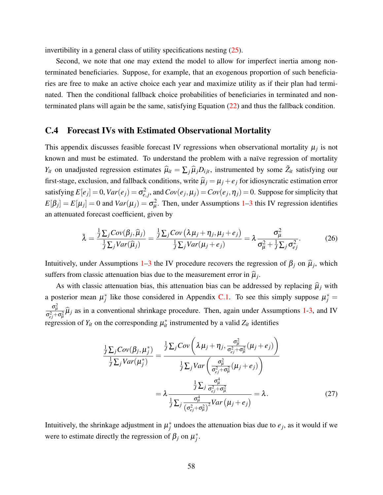invertibility in a general class of utility specifications nesting [\(25\)](#page-57-0).

Second, we note that one may extend the model to allow for imperfect inertia among nonterminated beneficiaries. Suppose, for example, that an exogenous proportion of such beneficiaries are free to make an active choice each year and maximize utility as if their plan had terminated. Then the conditional fallback choice probabilities of beneficiaries in terminated and nonterminated plans will again be the same, satisfying Equation [\(22\)](#page-56-2) and thus the fallback condition.

#### <span id="page-58-0"></span>C.4 Forecast IVs with Estimated Observational Mortality

This appendix discusses feasible forecast IV regressions when observational mortality  $\mu_j$  is not known and must be estimated. To understand the problem with a naïve regression of mortality *Y<sub>it</sub>* on unadjusted regression estimates  $\hat{\mu}_{it} = \sum_j \hat{\mu}_j D_{ijt}$ , instrumented by some  $\tilde{Z}_{it}$  satisfying our first-stage, exclusion, and fallback conditions, write  $\hat{\mu}_j = \mu_j + e_j$  for idiosyncratic estimation error satisfying  $E[e_j] = 0$ ,  $Var(e_j) = \sigma_{e_j}^2$ , and  $Cov(e_j, \mu_j) = Cov(e_j, \eta_j) = 0$ . Suppose for simplicity that  $E[\beta_j] = E[\mu_j] = 0$  and  $Var(\mu_j) = \sigma_\mu^2$ . Then, under Assumptions [1](#page-17-1)[–3](#page-19-0) this IV regression identifies an attenuated forecast coefficient, given by

$$
\tilde{\lambda} = \frac{\frac{1}{J} \sum_{j} Cov(\beta_{j}, \hat{\mu}_{j})}{\frac{1}{J} \sum_{j} Var(\hat{\mu}_{j})} = \frac{\frac{1}{J} \sum_{j} Cov(\lambda \mu_{j} + \eta_{j}, \mu_{j} + e_{j})}{\frac{1}{J} \sum_{j} Var(\mu_{j} + e_{j})} = \lambda \frac{\sigma_{\mu}^{2}}{\sigma_{\mu}^{2} + \frac{1}{J} \sum_{j} \sigma_{ej}^{2}}.
$$
(26)

Intuitively, under Assumptions [1–](#page-17-1)[3](#page-19-0) the IV procedure recovers the regression of  $\beta_j$  on  $\hat{\mu}_j$ , which suffers from classic attenuation bias due to the measurement error in  $\hat{\mu}_j$ .

As with classic attenuation bias, this attenuation bias can be addressed by replacing  $\hat{\mu}_i$  with a posterior mean  $\mu_j^*$  like those considered in Appendix [C.1.](#page-54-0) To see this simply suppose  $\mu_j^* =$  $\sigma^2_\mu$  $\frac{\sigma_\mu}{\sigma_{ej}^2 + \sigma_\mu^2} \hat{\mu}_j$  as in a conventional shrinkage procedure. Then, again under Assumptions [1-](#page-17-1)[3,](#page-19-0) and IV regression of  $Y_{it}$  on the corresponding  $\mu_{it}^*$  instrumented by a valid  $Z_{it}$  identifies

$$
\frac{\frac{1}{J}\sum_{j}Cov(\beta_{j},\mu_{j}^{*})}{\frac{1}{J}\sum_{j}Var(\mu_{j}^{*})} = \frac{\frac{1}{J}\sum_{j}Cov\left(\lambda\mu_{j}+\eta_{j},\frac{\sigma_{\mu}^{2}}{\sigma_{ej}^{2}+\sigma_{\mu}^{2}}(\mu_{j}+e_{j})\right)}{\frac{1}{J}\sum_{j}Var\left(\frac{\sigma_{\mu}^{2}}{\sigma_{ej}^{2}+\sigma_{\mu}^{2}}(\mu_{j}+e_{j})\right)}
$$
\n
$$
= \lambda \frac{\frac{1}{J}\sum_{j}\frac{\sigma_{\mu}^{4}}{\sigma_{ej}^{2}+\sigma_{\mu}^{2}}}{\frac{1}{J}\sum_{j}\frac{\sigma_{\mu}^{4}}{(\sigma_{ej}^{2}+\sigma_{\mu}^{2})^{2}}Var(\mu_{j}+e_{j})} = \lambda.
$$
\n(27)

Intuitively, the shrinkage adjustment in  $\mu_j^*$  undoes the attenuation bias due to  $e_j$ , as it would if we were to estimate directly the regression of  $\beta_j$  on  $\mu_j^*$ .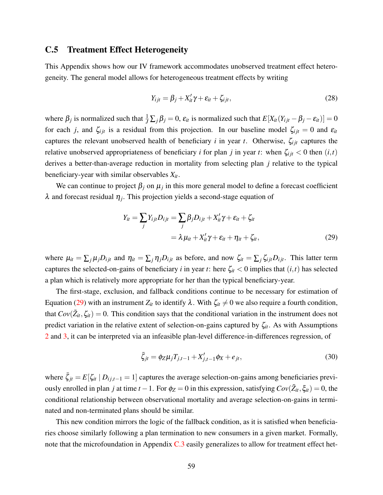#### <span id="page-59-0"></span>C.5 Treatment Effect Heterogeneity

This Appendix shows how our IV framework accommodates unobserved treatment effect heterogeneity. The general model allows for heterogeneous treatment effects by writing

$$
Y_{ijt} = \beta_j + X'_{it}\gamma + \varepsilon_{it} + \zeta_{ijt},
$$
\n(28)

where  $\beta_j$  is normalized such that  $\frac{1}{J}\sum_j \beta_j = 0$ ,  $\varepsilon_{it}$  is normalized such that  $E[X_{it}(Y_{ijt} - \beta_j - \varepsilon_{it})] = 0$ for each *j*, and  $\zeta_{ijt}$  is a residual from this projection. In our baseline model  $\zeta_{ijt} = 0$  and  $\varepsilon_{it}$ captures the relevant unobserved health of beneficiary *i* in year *t*. Otherwise,  $\zeta_{ijt}$  captures the relative unobserved appropriateness of beneficiary *i* for plan *j* in year *t*: when  $\zeta_{ijt}$  < 0 then  $(i, t)$ derives a better-than-average reduction in mortality from selecting plan *j* relative to the typical beneficiary-year with similar observables *Xit*.

We can continue to project  $\beta_j$  on  $\mu_j$  in this more general model to define a forecast coefficient  $\lambda$  and forecast residual  $\eta_j$ . This projection yields a second-stage equation of

<span id="page-59-1"></span>
$$
Y_{it} = \sum_{j} Y_{ijt} D_{ijt} = \sum_{j} \beta_{j} D_{ijt} + X_{it}' \gamma + \varepsilon_{it} + \zeta_{it}
$$
  
=  $\lambda \mu_{it} + X_{it}' \gamma + \varepsilon_{it} + \eta_{it} + \zeta_{it}$ , (29)

where  $\mu_{it} = \sum_j \mu_j D_{ijt}$  and  $\eta_{it} = \sum_j \eta_j D_{ijt}$  as before, and now  $\zeta_{it} = \sum_j \zeta_{ijt} D_{ijt}$ . This latter term captures the selected-on-gains of beneficiary *i* in year *t*: here  $\zeta_{it} < 0$  implies that  $(i, t)$  has selected a plan which is relatively more appropriate for her than the typical beneficiary-year.

The first-stage, exclusion, and fallback conditions continue to be necessary for estimation of Equation [\(29\)](#page-59-1) with an instrument  $Z_{it}$  to identify  $\lambda$ . With  $\zeta_{it} \neq 0$  we also require a fourth condition, that  $Cov(\tilde{Z}_{it}, \zeta_{it}) = 0$ . This condition says that the conditional variation in the instrument does not predict variation in the relative extent of selection-on-gains captured by ζ*it*. As with Assumptions [2](#page-18-0) and [3,](#page-19-0) it can be interpreted via an infeasible plan-level difference-in-differences regression, of

$$
\bar{\zeta}_{jt} = \phi_Z \mu_j T_{j,t-1} + X'_{j,t-1} \phi_X + e_{jt},\tag{30}
$$

where  $\bar{\zeta}_{jt} = E[\zeta_{it} | D_{ij,t-1} = 1]$  captures the average selection-on-gains among beneficiaries previously enrolled in plan *j* at time  $t - 1$ . For  $\phi_Z = 0$  in this expression, satisfying  $Cov(\tilde{Z}_{it}, \xi_{it}) = 0$ , the conditional relationship between observational mortality and average selection-on-gains in terminated and non-terminated plans should be similar.

This new condition mirrors the logic of the fallback condition, as it is satisfied when beneficiaries choose similarly following a plan termination to new consumers in a given market. Formally, note that the microfoundation in Appendix [C.3](#page-56-0) easily generalizes to allow for treatment effect het